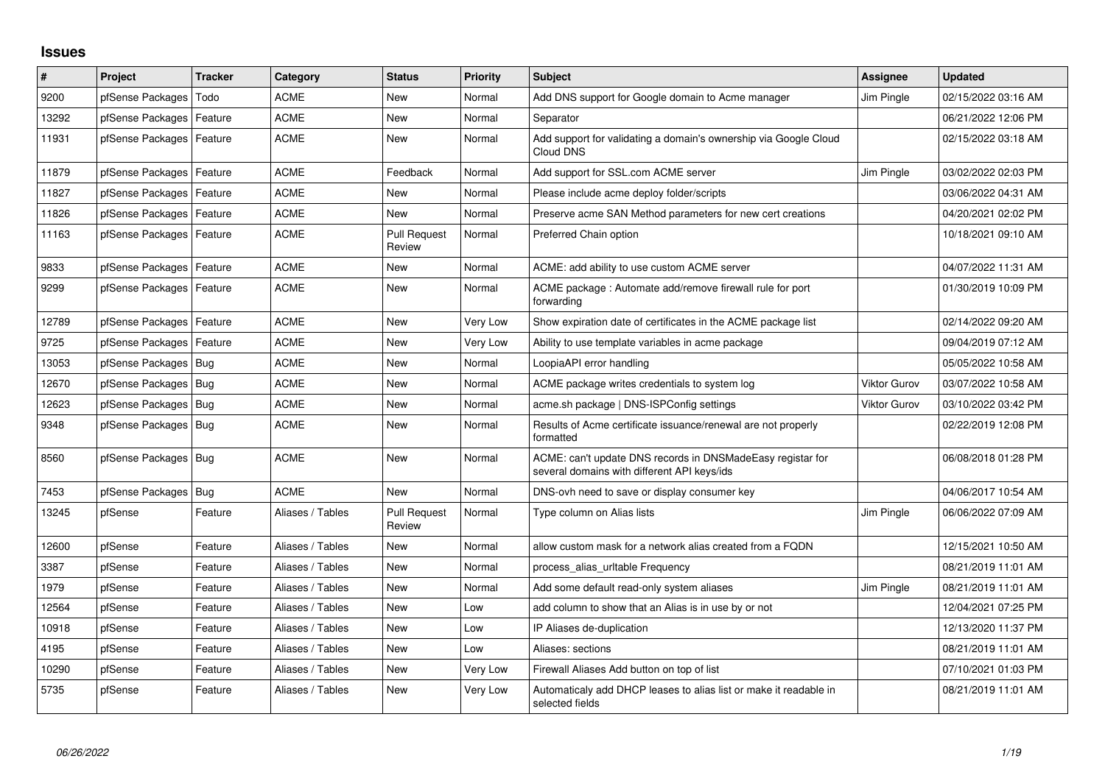## **Issues**

| ∦     | <b>Project</b>             | Tracker | Category         | <b>Status</b>                 | <b>Priority</b> | <b>Subject</b>                                                                                            | Assignee            | <b>Updated</b>      |
|-------|----------------------------|---------|------------------|-------------------------------|-----------------|-----------------------------------------------------------------------------------------------------------|---------------------|---------------------|
| 9200  | pfSense Packages           | Todo    | <b>ACME</b>      | <b>New</b>                    | Normal          | Add DNS support for Google domain to Acme manager                                                         | Jim Pingle          | 02/15/2022 03:16 AM |
| 13292 | pfSense Packages   Feature |         | <b>ACME</b>      | New                           | Normal          | Separator                                                                                                 |                     | 06/21/2022 12:06 PM |
| 11931 | pfSense Packages   Feature |         | <b>ACME</b>      | New                           | Normal          | Add support for validating a domain's ownership via Google Cloud<br>Cloud DNS                             |                     | 02/15/2022 03:18 AM |
| 11879 | pfSense Packages   Feature |         | ACME             | Feedback                      | Normal          | Add support for SSL.com ACME server                                                                       | Jim Pingle          | 03/02/2022 02:03 PM |
| 11827 | pfSense Packages   Feature |         | <b>ACME</b>      | New                           | Normal          | Please include acme deploy folder/scripts                                                                 |                     | 03/06/2022 04:31 AM |
| 11826 | pfSense Packages   Feature |         | <b>ACME</b>      | <b>New</b>                    | Normal          | Preserve acme SAN Method parameters for new cert creations                                                |                     | 04/20/2021 02:02 PM |
| 11163 | pfSense Packages   Feature |         | <b>ACME</b>      | <b>Pull Request</b><br>Review | Normal          | Preferred Chain option                                                                                    |                     | 10/18/2021 09:10 AM |
| 9833  | pfSense Packages   Feature |         | <b>ACME</b>      | New                           | Normal          | ACME: add ability to use custom ACME server                                                               |                     | 04/07/2022 11:31 AM |
| 9299  | pfSense Packages   Feature |         | <b>ACME</b>      | New                           | Normal          | ACME package: Automate add/remove firewall rule for port<br>forwarding                                    |                     | 01/30/2019 10:09 PM |
| 12789 | pfSense Packages   Feature |         | <b>ACME</b>      | <b>New</b>                    | Very Low        | Show expiration date of certificates in the ACME package list                                             |                     | 02/14/2022 09:20 AM |
| 9725  | pfSense Packages   Feature |         | <b>ACME</b>      | <b>New</b>                    | Very Low        | Ability to use template variables in acme package                                                         |                     | 09/04/2019 07:12 AM |
| 13053 | pfSense Packages   Bug     |         | <b>ACME</b>      | New                           | Normal          | LoopiaAPI error handling                                                                                  |                     | 05/05/2022 10:58 AM |
| 12670 | pfSense Packages   Bug     |         | <b>ACME</b>      | <b>New</b>                    | Normal          | ACME package writes credentials to system log                                                             | <b>Viktor Gurov</b> | 03/07/2022 10:58 AM |
| 12623 | pfSense Packages   Bug     |         | ACME             | New                           | Normal          | acme.sh package   DNS-ISPConfig settings                                                                  | <b>Viktor Gurov</b> | 03/10/2022 03:42 PM |
| 9348  | pfSense Packages   Bug     |         | <b>ACME</b>      | New                           | Normal          | Results of Acme certificate issuance/renewal are not properly<br>formatted                                |                     | 02/22/2019 12:08 PM |
| 8560  | pfSense Packages   Bug     |         | <b>ACME</b>      | <b>New</b>                    | Normal          | ACME: can't update DNS records in DNSMadeEasy registar for<br>several domains with different API keys/ids |                     | 06/08/2018 01:28 PM |
| 7453  | pfSense Packages   Bug     |         | <b>ACME</b>      | <b>New</b>                    | Normal          | DNS-ovh need to save or display consumer key                                                              |                     | 04/06/2017 10:54 AM |
| 13245 | pfSense                    | Feature | Aliases / Tables | <b>Pull Request</b><br>Review | Normal          | Type column on Alias lists                                                                                | Jim Pingle          | 06/06/2022 07:09 AM |
| 12600 | pfSense                    | Feature | Aliases / Tables | New                           | Normal          | allow custom mask for a network alias created from a FQDN                                                 |                     | 12/15/2021 10:50 AM |
| 3387  | pfSense                    | Feature | Aliases / Tables | New                           | Normal          | process alias uritable Frequency                                                                          |                     | 08/21/2019 11:01 AM |
| 1979  | pfSense                    | Feature | Aliases / Tables | New                           | Normal          | Add some default read-only system aliases                                                                 | Jim Pingle          | 08/21/2019 11:01 AM |
| 12564 | pfSense                    | Feature | Aliases / Tables | New                           | Low             | add column to show that an Alias is in use by or not                                                      |                     | 12/04/2021 07:25 PM |
| 10918 | pfSense                    | Feature | Aliases / Tables | <b>New</b>                    | Low             | IP Aliases de-duplication                                                                                 |                     | 12/13/2020 11:37 PM |
| 4195  | pfSense                    | Feature | Aliases / Tables | New                           | Low             | Aliases: sections                                                                                         |                     | 08/21/2019 11:01 AM |
| 10290 | pfSense                    | Feature | Aliases / Tables | <b>New</b>                    | Very Low        | Firewall Aliases Add button on top of list                                                                |                     | 07/10/2021 01:03 PM |
| 5735  | pfSense                    | Feature | Aliases / Tables | New                           | Very Low        | Automaticaly add DHCP leases to alias list or make it readable in<br>selected fields                      |                     | 08/21/2019 11:01 AM |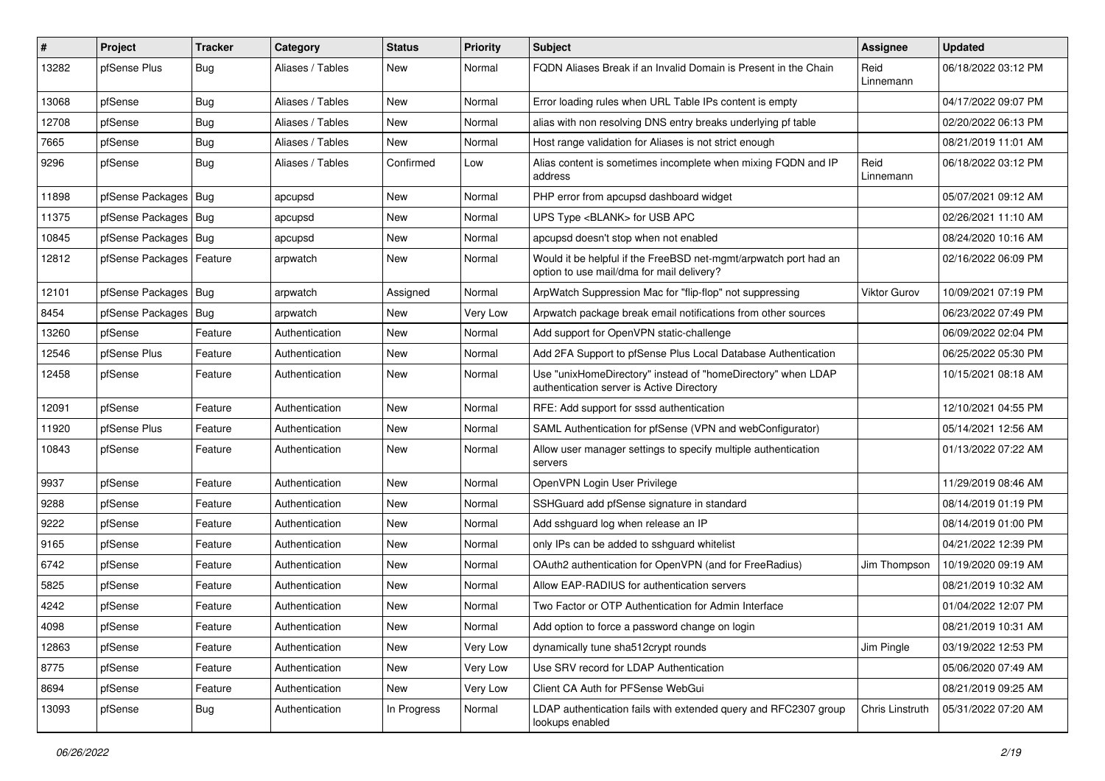| #     | Project                    | <b>Tracker</b> | Category         | <b>Status</b> | <b>Priority</b> | <b>Subject</b>                                                                                                | Assignee          | <b>Updated</b>      |
|-------|----------------------------|----------------|------------------|---------------|-----------------|---------------------------------------------------------------------------------------------------------------|-------------------|---------------------|
| 13282 | pfSense Plus               | Bug            | Aliases / Tables | New           | Normal          | FQDN Aliases Break if an Invalid Domain is Present in the Chain                                               | Reid<br>Linnemann | 06/18/2022 03:12 PM |
| 13068 | pfSense                    | <b>Bug</b>     | Aliases / Tables | New           | Normal          | Error loading rules when URL Table IPs content is empty                                                       |                   | 04/17/2022 09:07 PM |
| 12708 | pfSense                    | <b>Bug</b>     | Aliases / Tables | New           | Normal          | alias with non resolving DNS entry breaks underlying pf table                                                 |                   | 02/20/2022 06:13 PM |
| 7665  | pfSense                    | Bug            | Aliases / Tables | New           | Normal          | Host range validation for Aliases is not strict enough                                                        |                   | 08/21/2019 11:01 AM |
| 9296  | pfSense                    | Bug            | Aliases / Tables | Confirmed     | Low             | Alias content is sometimes incomplete when mixing FQDN and IP<br>address                                      | Reid<br>Linnemann | 06/18/2022 03:12 PM |
| 11898 | pfSense Packages           | Bug            | apcupsd          | New           | Normal          | PHP error from apcupsd dashboard widget                                                                       |                   | 05/07/2021 09:12 AM |
| 11375 | pfSense Packages   Bug     |                | apcupsd          | <b>New</b>    | Normal          | UPS Type <blank> for USB APC</blank>                                                                          |                   | 02/26/2021 11:10 AM |
| 10845 | pfSense Packages   Bug     |                | apcupsd          | New           | Normal          | apcupsd doesn't stop when not enabled                                                                         |                   | 08/24/2020 10:16 AM |
| 12812 | pfSense Packages   Feature |                | arpwatch         | New           | Normal          | Would it be helpful if the FreeBSD net-mgmt/arpwatch port had an<br>option to use mail/dma for mail delivery? |                   | 02/16/2022 06:09 PM |
| 12101 | pfSense Packages   Bug     |                | arpwatch         | Assigned      | Normal          | ArpWatch Suppression Mac for "flip-flop" not suppressing                                                      | Viktor Gurov      | 10/09/2021 07:19 PM |
| 8454  | pfSense Packages   Bug     |                | arpwatch         | New           | Very Low        | Arpwatch package break email notifications from other sources                                                 |                   | 06/23/2022 07:49 PM |
| 13260 | pfSense                    | Feature        | Authentication   | New           | Normal          | Add support for OpenVPN static-challenge                                                                      |                   | 06/09/2022 02:04 PM |
| 12546 | pfSense Plus               | Feature        | Authentication   | New           | Normal          | Add 2FA Support to pfSense Plus Local Database Authentication                                                 |                   | 06/25/2022 05:30 PM |
| 12458 | pfSense                    | Feature        | Authentication   | New           | Normal          | Use "unixHomeDirectory" instead of "homeDirectory" when LDAP<br>authentication server is Active Directory     |                   | 10/15/2021 08:18 AM |
| 12091 | pfSense                    | Feature        | Authentication   | New           | Normal          | RFE: Add support for sssd authentication                                                                      |                   | 12/10/2021 04:55 PM |
| 11920 | pfSense Plus               | Feature        | Authentication   | New           | Normal          | SAML Authentication for pfSense (VPN and webConfigurator)                                                     |                   | 05/14/2021 12:56 AM |
| 10843 | pfSense                    | Feature        | Authentication   | New           | Normal          | Allow user manager settings to specify multiple authentication<br>servers                                     |                   | 01/13/2022 07:22 AM |
| 9937  | pfSense                    | Feature        | Authentication   | <b>New</b>    | Normal          | OpenVPN Login User Privilege                                                                                  |                   | 11/29/2019 08:46 AM |
| 9288  | pfSense                    | Feature        | Authentication   | New           | Normal          | SSHGuard add pfSense signature in standard                                                                    |                   | 08/14/2019 01:19 PM |
| 9222  | pfSense                    | Feature        | Authentication   | New           | Normal          | Add sshguard log when release an IP                                                                           |                   | 08/14/2019 01:00 PM |
| 9165  | pfSense                    | Feature        | Authentication   | New           | Normal          | only IPs can be added to sshguard whitelist                                                                   |                   | 04/21/2022 12:39 PM |
| 6742  | pfSense                    | Feature        | Authentication   | New           | Normal          | OAuth2 authentication for OpenVPN (and for FreeRadius)                                                        | Jim Thompson      | 10/19/2020 09:19 AM |
| 5825  | pfSense                    | Feature        | Authentication   | New           | Normal          | Allow EAP-RADIUS for authentication servers                                                                   |                   | 08/21/2019 10:32 AM |
| 4242  | pfSense                    | Feature        | Authentication   | <b>New</b>    | Normal          | Two Factor or OTP Authentication for Admin Interface                                                          |                   | 01/04/2022 12:07 PM |
| 4098  | pfSense                    | Feature        | Authentication   | New           | Normal          | Add option to force a password change on login                                                                |                   | 08/21/2019 10:31 AM |
| 12863 | pfSense                    | Feature        | Authentication   | New           | Very Low        | dynamically tune sha512crypt rounds                                                                           | Jim Pingle        | 03/19/2022 12:53 PM |
| 8775  | pfSense                    | Feature        | Authentication   | New           | Very Low        | Use SRV record for LDAP Authentication                                                                        |                   | 05/06/2020 07:49 AM |
| 8694  | pfSense                    | Feature        | Authentication   | New           | Very Low        | Client CA Auth for PFSense WebGui                                                                             |                   | 08/21/2019 09:25 AM |
| 13093 | pfSense                    | Bug            | Authentication   | In Progress   | Normal          | LDAP authentication fails with extended query and RFC2307 group<br>lookups enabled                            | Chris Linstruth   | 05/31/2022 07:20 AM |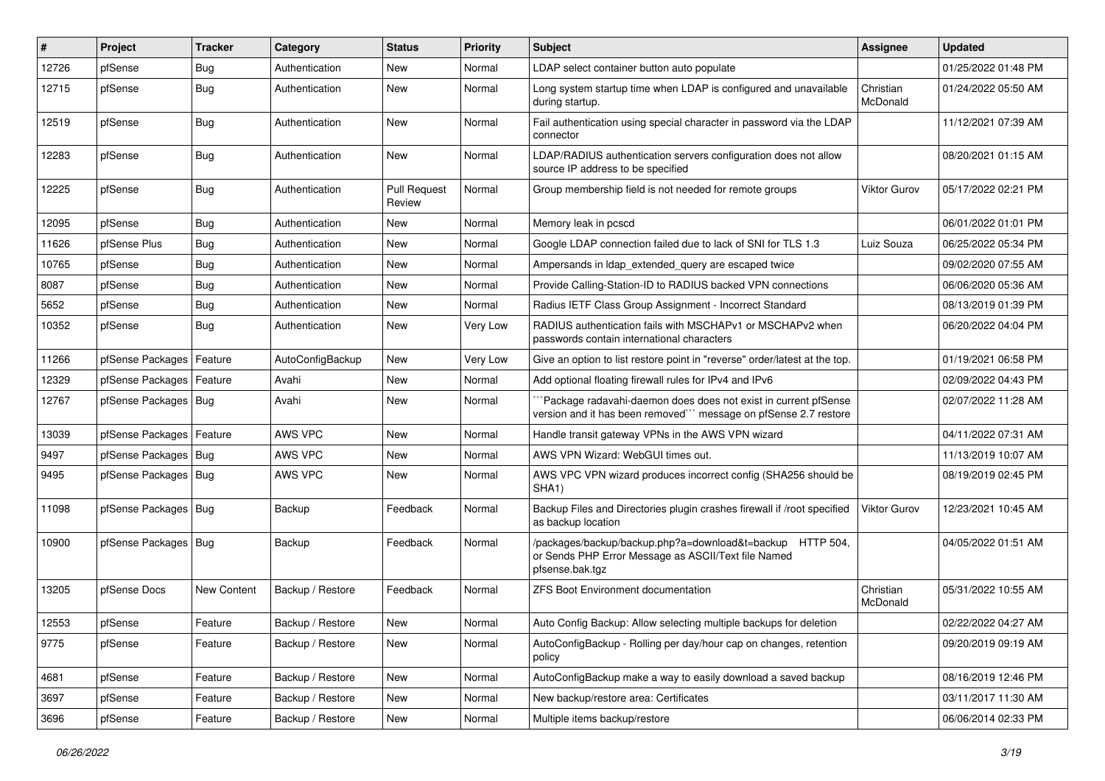| ∦     | Project                    | Tracker     | Category         | <b>Status</b>                 | <b>Priority</b> | Subject                                                                                                                             | Assignee              | <b>Updated</b>      |
|-------|----------------------------|-------------|------------------|-------------------------------|-----------------|-------------------------------------------------------------------------------------------------------------------------------------|-----------------------|---------------------|
| 12726 | pfSense                    | <b>Bug</b>  | Authentication   | New                           | Normal          | LDAP select container button auto populate                                                                                          |                       | 01/25/2022 01:48 PM |
| 12715 | pfSense                    | Bug         | Authentication   | New                           | Normal          | Long system startup time when LDAP is configured and unavailable<br>during startup.                                                 | Christian<br>McDonald | 01/24/2022 05:50 AM |
| 12519 | pfSense                    | Bug         | Authentication   | New                           | Normal          | Fail authentication using special character in password via the LDAP<br>connector                                                   |                       | 11/12/2021 07:39 AM |
| 12283 | pfSense                    | Bug         | Authentication   | <b>New</b>                    | Normal          | LDAP/RADIUS authentication servers configuration does not allow<br>source IP address to be specified                                |                       | 08/20/2021 01:15 AM |
| 12225 | pfSense                    | Bug         | Authentication   | <b>Pull Request</b><br>Review | Normal          | Group membership field is not needed for remote groups                                                                              | Viktor Gurov          | 05/17/2022 02:21 PM |
| 12095 | pfSense                    | Bug         | Authentication   | New                           | Normal          | Memory leak in pcscd                                                                                                                |                       | 06/01/2022 01:01 PM |
| 11626 | pfSense Plus               | <b>Bug</b>  | Authentication   | New                           | Normal          | Google LDAP connection failed due to lack of SNI for TLS 1.3                                                                        | Luiz Souza            | 06/25/2022 05:34 PM |
| 10765 | pfSense                    | <b>Bug</b>  | Authentication   | New                           | Normal          | Ampersands in Idap extended query are escaped twice                                                                                 |                       | 09/02/2020 07:55 AM |
| 8087  | pfSense                    | Bug         | Authentication   | New                           | Normal          | Provide Calling-Station-ID to RADIUS backed VPN connections                                                                         |                       | 06/06/2020 05:36 AM |
| 5652  | pfSense                    | <b>Bug</b>  | Authentication   | New                           | Normal          | Radius IETF Class Group Assignment - Incorrect Standard                                                                             |                       | 08/13/2019 01:39 PM |
| 10352 | pfSense                    | Bug         | Authentication   | New                           | Very Low        | RADIUS authentication fails with MSCHAPv1 or MSCHAPv2 when<br>passwords contain international characters                            |                       | 06/20/2022 04:04 PM |
| 11266 | pfSense Packages   Feature |             | AutoConfigBackup | <b>New</b>                    | Very Low        | Give an option to list restore point in "reverse" order/latest at the top.                                                          |                       | 01/19/2021 06:58 PM |
| 12329 | pfSense Packages   Feature |             | Avahi            | <b>New</b>                    | Normal          | Add optional floating firewall rules for IPv4 and IPv6                                                                              |                       | 02/09/2022 04:43 PM |
| 12767 | pfSense Packages   Bug     |             | Avahi            | New                           | Normal          | Package radavahi-daemon does does not exist in current pfSense<br>version and it has been removed"" message on pfSense 2.7 restore  |                       | 02/07/2022 11:28 AM |
| 13039 | pfSense Packages   Feature |             | AWS VPC          | <b>New</b>                    | Normal          | Handle transit gateway VPNs in the AWS VPN wizard                                                                                   |                       | 04/11/2022 07:31 AM |
| 9497  | pfSense Packages   Bug     |             | AWS VPC          | New                           | Normal          | AWS VPN Wizard: WebGUI times out.                                                                                                   |                       | 11/13/2019 10:07 AM |
| 9495  | pfSense Packages   Bug     |             | AWS VPC          | New                           | Normal          | AWS VPC VPN wizard produces incorrect config (SHA256 should be<br>SHA <sub>1</sub> )                                                |                       | 08/19/2019 02:45 PM |
| 11098 | pfSense Packages   Bug     |             | Backup           | Feedback                      | Normal          | Backup Files and Directories plugin crashes firewall if /root specified<br>as backup location                                       | Viktor Gurov          | 12/23/2021 10:45 AM |
| 10900 | pfSense Packages   Bug     |             | Backup           | Feedback                      | Normal          | /packages/backup/backup.php?a=download&t=backup HTTP 504,<br>or Sends PHP Error Message as ASCII/Text file Named<br>pfsense.bak.tgz |                       | 04/05/2022 01:51 AM |
| 13205 | pfSense Docs               | New Content | Backup / Restore | Feedback                      | Normal          | <b>ZFS Boot Environment documentation</b>                                                                                           | Christian<br>McDonald | 05/31/2022 10:55 AM |
| 12553 | pfSense                    | Feature     | Backup / Restore | New                           | Normal          | Auto Config Backup: Allow selecting multiple backups for deletion                                                                   |                       | 02/22/2022 04:27 AM |
| 9775  | pfSense                    | Feature     | Backup / Restore | New                           | Normal          | AutoConfigBackup - Rolling per day/hour cap on changes, retention<br>policy                                                         |                       | 09/20/2019 09:19 AM |
| 4681  | pfSense                    | Feature     | Backup / Restore | New                           | Normal          | AutoConfigBackup make a way to easily download a saved backup                                                                       |                       | 08/16/2019 12:46 PM |
| 3697  | pfSense                    | Feature     | Backup / Restore | New                           | Normal          | New backup/restore area: Certificates                                                                                               |                       | 03/11/2017 11:30 AM |
| 3696  | pfSense                    | Feature     | Backup / Restore | New                           | Normal          | Multiple items backup/restore                                                                                                       |                       | 06/06/2014 02:33 PM |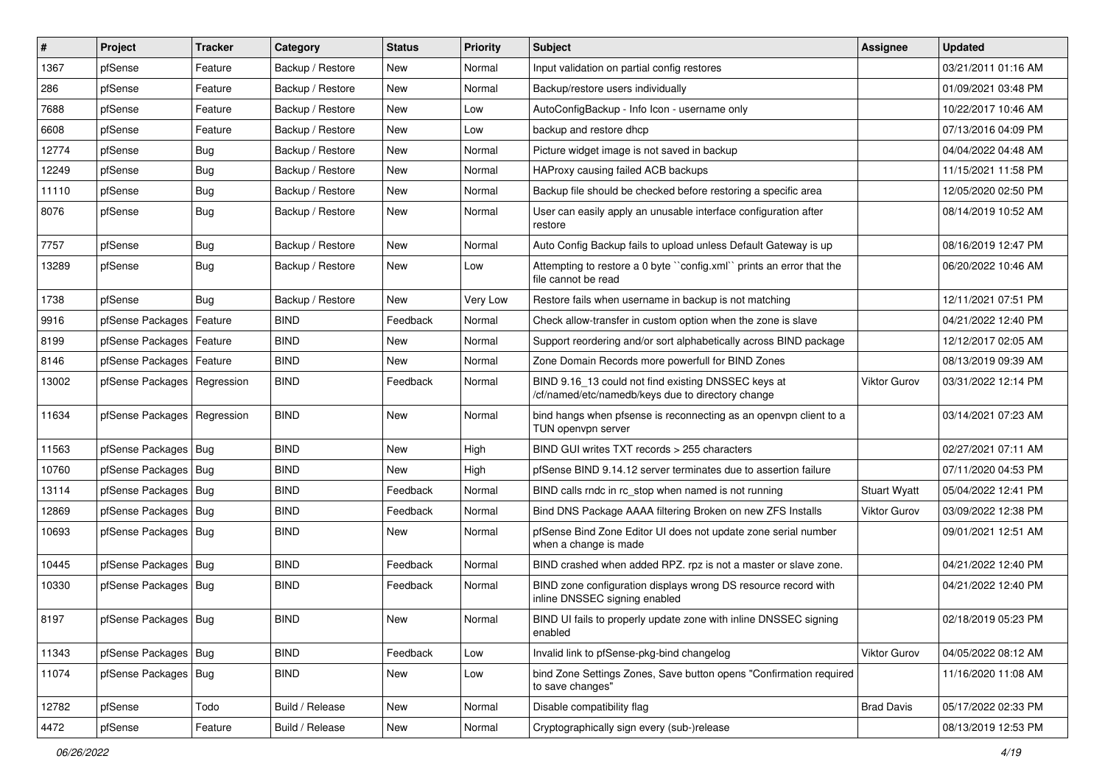| $\vert$ # | Project                       | <b>Tracker</b> | Category         | <b>Status</b> | <b>Priority</b> | Subject                                                                                                  | <b>Assignee</b>     | <b>Updated</b>      |
|-----------|-------------------------------|----------------|------------------|---------------|-----------------|----------------------------------------------------------------------------------------------------------|---------------------|---------------------|
| 1367      | pfSense                       | Feature        | Backup / Restore | New           | Normal          | Input validation on partial config restores                                                              |                     | 03/21/2011 01:16 AM |
| 286       | pfSense                       | Feature        | Backup / Restore | New           | Normal          | Backup/restore users individually                                                                        |                     | 01/09/2021 03:48 PM |
| 7688      | pfSense                       | Feature        | Backup / Restore | New           | Low             | AutoConfigBackup - Info Icon - username only                                                             |                     | 10/22/2017 10:46 AM |
| 6608      | pfSense                       | Feature        | Backup / Restore | New           | Low             | backup and restore dhcp                                                                                  |                     | 07/13/2016 04:09 PM |
| 12774     | pfSense                       | Bug            | Backup / Restore | New           | Normal          | Picture widget image is not saved in backup                                                              |                     | 04/04/2022 04:48 AM |
| 12249     | pfSense                       | <b>Bug</b>     | Backup / Restore | New           | Normal          | HAProxy causing failed ACB backups                                                                       |                     | 11/15/2021 11:58 PM |
| 11110     | pfSense                       | <b>Bug</b>     | Backup / Restore | New           | Normal          | Backup file should be checked before restoring a specific area                                           |                     | 12/05/2020 02:50 PM |
| 8076      | pfSense                       | Bug            | Backup / Restore | New           | Normal          | User can easily apply an unusable interface configuration after<br>restore                               |                     | 08/14/2019 10:52 AM |
| 7757      | pfSense                       | Bug            | Backup / Restore | New           | Normal          | Auto Config Backup fails to upload unless Default Gateway is up                                          |                     | 08/16/2019 12:47 PM |
| 13289     | pfSense                       | Bug            | Backup / Restore | New           | Low             | Attempting to restore a 0 byte "config.xml" prints an error that the<br>file cannot be read              |                     | 06/20/2022 10:46 AM |
| 1738      | pfSense                       | Bug            | Backup / Restore | New           | Very Low        | Restore fails when username in backup is not matching                                                    |                     | 12/11/2021 07:51 PM |
| 9916      | pfSense Packages              | Feature        | <b>BIND</b>      | Feedback      | Normal          | Check allow-transfer in custom option when the zone is slave                                             |                     | 04/21/2022 12:40 PM |
| 8199      | pfSense Packages   Feature    |                | <b>BIND</b>      | New           | Normal          | Support reordering and/or sort alphabetically across BIND package                                        |                     | 12/12/2017 02:05 AM |
| 8146      | pfSense Packages   Feature    |                | <b>BIND</b>      | New           | Normal          | Zone Domain Records more powerfull for BIND Zones                                                        |                     | 08/13/2019 09:39 AM |
| 13002     | pfSense Packages   Regression |                | <b>BIND</b>      | Feedback      | Normal          | BIND 9.16_13 could not find existing DNSSEC keys at<br>/cf/named/etc/namedb/keys due to directory change | <b>Viktor Gurov</b> | 03/31/2022 12:14 PM |
| 11634     | pfSense Packages   Regression |                | <b>BIND</b>      | New           | Normal          | bind hangs when pfsense is reconnecting as an openypn client to a<br>TUN openvpn server                  |                     | 03/14/2021 07:23 AM |
| 11563     | pfSense Packages   Bug        |                | <b>BIND</b>      | <b>New</b>    | High            | BIND GUI writes TXT records > 255 characters                                                             |                     | 02/27/2021 07:11 AM |
| 10760     | pfSense Packages   Bug        |                | <b>BIND</b>      | New           | High            | pfSense BIND 9.14.12 server terminates due to assertion failure                                          |                     | 07/11/2020 04:53 PM |
| 13114     | pfSense Packages   Bug        |                | <b>BIND</b>      | Feedback      | Normal          | BIND calls rndc in rc_stop when named is not running                                                     | <b>Stuart Wyatt</b> | 05/04/2022 12:41 PM |
| 12869     | pfSense Packages   Bug        |                | <b>BIND</b>      | Feedback      | Normal          | Bind DNS Package AAAA filtering Broken on new ZFS Installs                                               | <b>Viktor Gurov</b> | 03/09/2022 12:38 PM |
| 10693     | pfSense Packages   Bug        |                | <b>BIND</b>      | New           | Normal          | pfSense Bind Zone Editor UI does not update zone serial number<br>when a change is made                  |                     | 09/01/2021 12:51 AM |
| 10445     | pfSense Packages   Bug        |                | <b>BIND</b>      | Feedback      | Normal          | BIND crashed when added RPZ. rpz is not a master or slave zone.                                          |                     | 04/21/2022 12:40 PM |
| 10330     | pfSense Packages   Bug        |                | <b>BIND</b>      | Feedback      | Normal          | BIND zone configuration displays wrong DS resource record with<br>inline DNSSEC signing enabled          |                     | 04/21/2022 12:40 PM |
| 8197      | pfSense Packages   Bug        |                | <b>BIND</b>      | New           | Normal          | BIND UI fails to properly update zone with inline DNSSEC signing<br>enabled                              |                     | 02/18/2019 05:23 PM |
| 11343     | pfSense Packages   Bug        |                | <b>BIND</b>      | Feedback      | Low             | Invalid link to pfSense-pkg-bind changelog                                                               | Viktor Gurov        | 04/05/2022 08:12 AM |
| 11074     | pfSense Packages   Bug        |                | <b>BIND</b>      | New           | Low             | bind Zone Settings Zones, Save button opens "Confirmation required<br>to save changes"                   |                     | 11/16/2020 11:08 AM |
| 12782     | pfSense                       | Todo           | Build / Release  | New           | Normal          | Disable compatibility flag                                                                               | <b>Brad Davis</b>   | 05/17/2022 02:33 PM |
| 4472      | pfSense                       | Feature        | Build / Release  | New           | Normal          | Cryptographically sign every (sub-)release                                                               |                     | 08/13/2019 12:53 PM |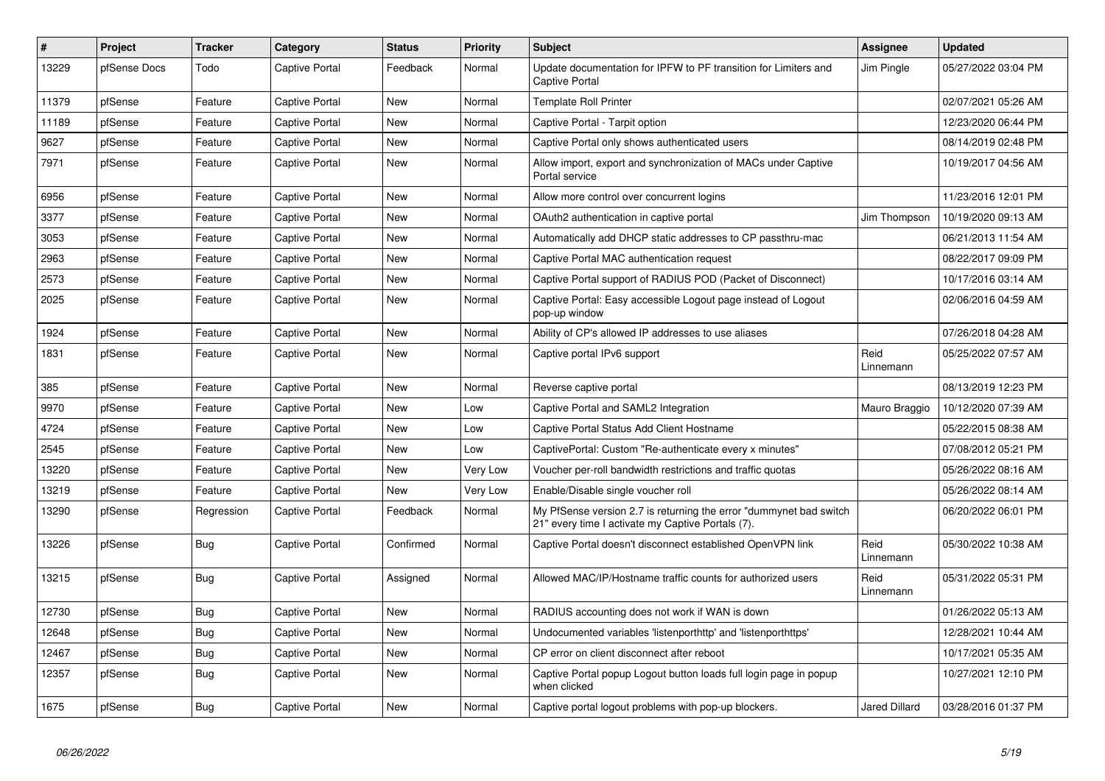| $\sharp$ | <b>Project</b> | <b>Tracker</b> | Category              | <b>Status</b> | <b>Priority</b> | <b>Subject</b>                                                                                                          | <b>Assignee</b>      | <b>Updated</b>      |
|----------|----------------|----------------|-----------------------|---------------|-----------------|-------------------------------------------------------------------------------------------------------------------------|----------------------|---------------------|
| 13229    | pfSense Docs   | Todo           | Captive Portal        | Feedback      | Normal          | Update documentation for IPFW to PF transition for Limiters and<br><b>Captive Portal</b>                                | Jim Pingle           | 05/27/2022 03:04 PM |
| 11379    | pfSense        | Feature        | <b>Captive Portal</b> | New           | Normal          | <b>Template Roll Printer</b>                                                                                            |                      | 02/07/2021 05:26 AM |
| 11189    | pfSense        | Feature        | Captive Portal        | New           | Normal          | Captive Portal - Tarpit option                                                                                          |                      | 12/23/2020 06:44 PM |
| 9627     | pfSense        | Feature        | <b>Captive Portal</b> | New           | Normal          | Captive Portal only shows authenticated users                                                                           |                      | 08/14/2019 02:48 PM |
| 7971     | pfSense        | Feature        | <b>Captive Portal</b> | New           | Normal          | Allow import, export and synchronization of MACs under Captive<br>Portal service                                        |                      | 10/19/2017 04:56 AM |
| 6956     | pfSense        | Feature        | <b>Captive Portal</b> | New           | Normal          | Allow more control over concurrent logins                                                                               |                      | 11/23/2016 12:01 PM |
| 3377     | pfSense        | Feature        | <b>Captive Portal</b> | New           | Normal          | OAuth2 authentication in captive portal                                                                                 | Jim Thompson         | 10/19/2020 09:13 AM |
| 3053     | pfSense        | Feature        | <b>Captive Portal</b> | New           | Normal          | Automatically add DHCP static addresses to CP passthru-mac                                                              |                      | 06/21/2013 11:54 AM |
| 2963     | pfSense        | Feature        | <b>Captive Portal</b> | New           | Normal          | Captive Portal MAC authentication request                                                                               |                      | 08/22/2017 09:09 PM |
| 2573     | pfSense        | Feature        | <b>Captive Portal</b> | New           | Normal          | Captive Portal support of RADIUS POD (Packet of Disconnect)                                                             |                      | 10/17/2016 03:14 AM |
| 2025     | pfSense        | Feature        | Captive Portal        | New           | Normal          | Captive Portal: Easy accessible Logout page instead of Logout<br>pop-up window                                          |                      | 02/06/2016 04:59 AM |
| 1924     | pfSense        | Feature        | Captive Portal        | New           | Normal          | Ability of CP's allowed IP addresses to use aliases                                                                     |                      | 07/26/2018 04:28 AM |
| 1831     | pfSense        | Feature        | Captive Portal        | <b>New</b>    | Normal          | Captive portal IPv6 support                                                                                             | Reid<br>Linnemann    | 05/25/2022 07:57 AM |
| 385      | pfSense        | Feature        | <b>Captive Portal</b> | <b>New</b>    | Normal          | Reverse captive portal                                                                                                  |                      | 08/13/2019 12:23 PM |
| 9970     | pfSense        | Feature        | <b>Captive Portal</b> | New           | Low             | Captive Portal and SAML2 Integration                                                                                    | Mauro Braggio        | 10/12/2020 07:39 AM |
| 4724     | pfSense        | Feature        | Captive Portal        | <b>New</b>    | Low             | Captive Portal Status Add Client Hostname                                                                               |                      | 05/22/2015 08:38 AM |
| 2545     | pfSense        | Feature        | <b>Captive Portal</b> | New           | Low             | CaptivePortal: Custom "Re-authenticate every x minutes"                                                                 |                      | 07/08/2012 05:21 PM |
| 13220    | pfSense        | Feature        | <b>Captive Portal</b> | New           | Very Low        | Voucher per-roll bandwidth restrictions and traffic quotas                                                              |                      | 05/26/2022 08:16 AM |
| 13219    | pfSense        | Feature        | <b>Captive Portal</b> | <b>New</b>    | Very Low        | Enable/Disable single voucher roll                                                                                      |                      | 05/26/2022 08:14 AM |
| 13290    | pfSense        | Regression     | Captive Portal        | Feedback      | Normal          | My PfSense version 2.7 is returning the error "dummynet bad switch<br>21" every time I activate my Captive Portals (7). |                      | 06/20/2022 06:01 PM |
| 13226    | pfSense        | Bug            | <b>Captive Portal</b> | Confirmed     | Normal          | Captive Portal doesn't disconnect established OpenVPN link                                                              | Reid<br>Linnemann    | 05/30/2022 10:38 AM |
| 13215    | pfSense        | Bug            | Captive Portal        | Assigned      | Normal          | Allowed MAC/IP/Hostname traffic counts for authorized users                                                             | Reid<br>Linnemann    | 05/31/2022 05:31 PM |
| 12730    | pfSense        | <b>Bug</b>     | <b>Captive Portal</b> | New           | Normal          | RADIUS accounting does not work if WAN is down                                                                          |                      | 01/26/2022 05:13 AM |
| 12648    | pfSense        | Bug            | <b>Captive Portal</b> | New           | Normal          | Undocumented variables 'listenporthttp' and 'listenporthttps'                                                           |                      | 12/28/2021 10:44 AM |
| 12467    | pfSense        | <b>Bug</b>     | <b>Captive Portal</b> | New           | Normal          | CP error on client disconnect after reboot                                                                              |                      | 10/17/2021 05:35 AM |
| 12357    | pfSense        | Bug            | <b>Captive Portal</b> | <b>New</b>    | Normal          | Captive Portal popup Logout button loads full login page in popup<br>when clicked                                       |                      | 10/27/2021 12:10 PM |
| 1675     | pfSense        | <b>Bug</b>     | <b>Captive Portal</b> | <b>New</b>    | Normal          | Captive portal logout problems with pop-up blockers.                                                                    | <b>Jared Dillard</b> | 03/28/2016 01:37 PM |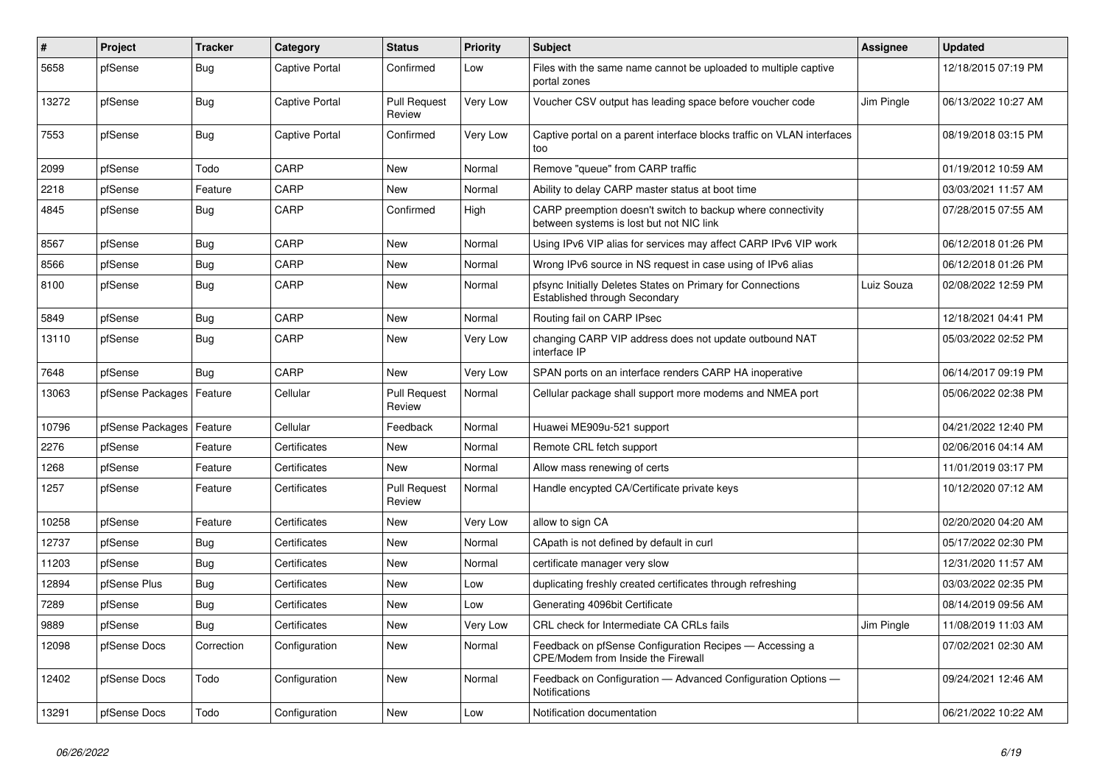| #     | Project                    | <b>Tracker</b> | Category              | <b>Status</b>                 | <b>Priority</b> | <b>Subject</b>                                                                                          | <b>Assignee</b> | <b>Updated</b>      |
|-------|----------------------------|----------------|-----------------------|-------------------------------|-----------------|---------------------------------------------------------------------------------------------------------|-----------------|---------------------|
| 5658  | pfSense                    | <b>Bug</b>     | Captive Portal        | Confirmed                     | Low             | Files with the same name cannot be uploaded to multiple captive<br>portal zones                         |                 | 12/18/2015 07:19 PM |
| 13272 | pfSense                    | Bug            | <b>Captive Portal</b> | <b>Pull Request</b><br>Review | Very Low        | Voucher CSV output has leading space before voucher code                                                | Jim Pingle      | 06/13/2022 10:27 AM |
| 7553  | pfSense                    | <b>Bug</b>     | <b>Captive Portal</b> | Confirmed                     | Very Low        | Captive portal on a parent interface blocks traffic on VLAN interfaces<br>too                           |                 | 08/19/2018 03:15 PM |
| 2099  | pfSense                    | Todo           | CARP                  | <b>New</b>                    | Normal          | Remove "queue" from CARP traffic                                                                        |                 | 01/19/2012 10:59 AM |
| 2218  | pfSense                    | Feature        | CARP                  | <b>New</b>                    | Normal          | Ability to delay CARP master status at boot time                                                        |                 | 03/03/2021 11:57 AM |
| 4845  | pfSense                    | <b>Bug</b>     | CARP                  | Confirmed                     | High            | CARP preemption doesn't switch to backup where connectivity<br>between systems is lost but not NIC link |                 | 07/28/2015 07:55 AM |
| 8567  | pfSense                    | Bug            | CARP                  | <b>New</b>                    | Normal          | Using IPv6 VIP alias for services may affect CARP IPv6 VIP work                                         |                 | 06/12/2018 01:26 PM |
| 8566  | pfSense                    | <b>Bug</b>     | CARP                  | <b>New</b>                    | Normal          | Wrong IPv6 source in NS request in case using of IPv6 alias                                             |                 | 06/12/2018 01:26 PM |
| 8100  | pfSense                    | Bug            | CARP                  | New                           | Normal          | pfsync Initially Deletes States on Primary for Connections<br>Established through Secondary             | Luiz Souza      | 02/08/2022 12:59 PM |
| 5849  | pfSense                    | <b>Bug</b>     | CARP                  | <b>New</b>                    | Normal          | Routing fail on CARP IPsec                                                                              |                 | 12/18/2021 04:41 PM |
| 13110 | pfSense                    | <b>Bug</b>     | CARP                  | <b>New</b>                    | Very Low        | changing CARP VIP address does not update outbound NAT<br>interface IP                                  |                 | 05/03/2022 02:52 PM |
| 7648  | pfSense                    | Bug            | CARP                  | <b>New</b>                    | Very Low        | SPAN ports on an interface renders CARP HA inoperative                                                  |                 | 06/14/2017 09:19 PM |
| 13063 | pfSense Packages   Feature |                | Cellular              | <b>Pull Request</b><br>Review | Normal          | Cellular package shall support more modems and NMEA port                                                |                 | 05/06/2022 02:38 PM |
| 10796 | pfSense Packages           | Feature        | Cellular              | Feedback                      | Normal          | Huawei ME909u-521 support                                                                               |                 | 04/21/2022 12:40 PM |
| 2276  | pfSense                    | Feature        | Certificates          | <b>New</b>                    | Normal          | Remote CRL fetch support                                                                                |                 | 02/06/2016 04:14 AM |
| 1268  | pfSense                    | Feature        | Certificates          | <b>New</b>                    | Normal          | Allow mass renewing of certs                                                                            |                 | 11/01/2019 03:17 PM |
| 1257  | pfSense                    | Feature        | Certificates          | <b>Pull Request</b><br>Review | Normal          | Handle encypted CA/Certificate private keys                                                             |                 | 10/12/2020 07:12 AM |
| 10258 | pfSense                    | Feature        | Certificates          | <b>New</b>                    | Very Low        | allow to sign CA                                                                                        |                 | 02/20/2020 04:20 AM |
| 12737 | pfSense                    | <b>Bug</b>     | Certificates          | <b>New</b>                    | Normal          | CApath is not defined by default in curl                                                                |                 | 05/17/2022 02:30 PM |
| 11203 | pfSense                    | <b>Bug</b>     | Certificates          | <b>New</b>                    | Normal          | certificate manager very slow                                                                           |                 | 12/31/2020 11:57 AM |
| 12894 | pfSense Plus               | <b>Bug</b>     | Certificates          | New                           | Low             | duplicating freshly created certificates through refreshing                                             |                 | 03/03/2022 02:35 PM |
| 7289  | pfSense                    | <b>Bug</b>     | Certificates          | <b>New</b>                    | Low             | Generating 4096bit Certificate                                                                          |                 | 08/14/2019 09:56 AM |
| 9889  | pfSense                    | Bug            | Certificates          | New                           | Very Low        | CRL check for Intermediate CA CRLs fails                                                                | Jim Pingle      | 11/08/2019 11:03 AM |
| 12098 | pfSense Docs               | Correction     | Configuration         | New                           | Normal          | Feedback on pfSense Configuration Recipes - Accessing a<br>CPE/Modem from Inside the Firewall           |                 | 07/02/2021 02:30 AM |
| 12402 | pfSense Docs               | Todo           | Configuration         | <b>New</b>                    | Normal          | Feedback on Configuration - Advanced Configuration Options -<br><b>Notifications</b>                    |                 | 09/24/2021 12:46 AM |
| 13291 | pfSense Docs               | Todo           | Configuration         | <b>New</b>                    | Low             | Notification documentation                                                                              |                 | 06/21/2022 10:22 AM |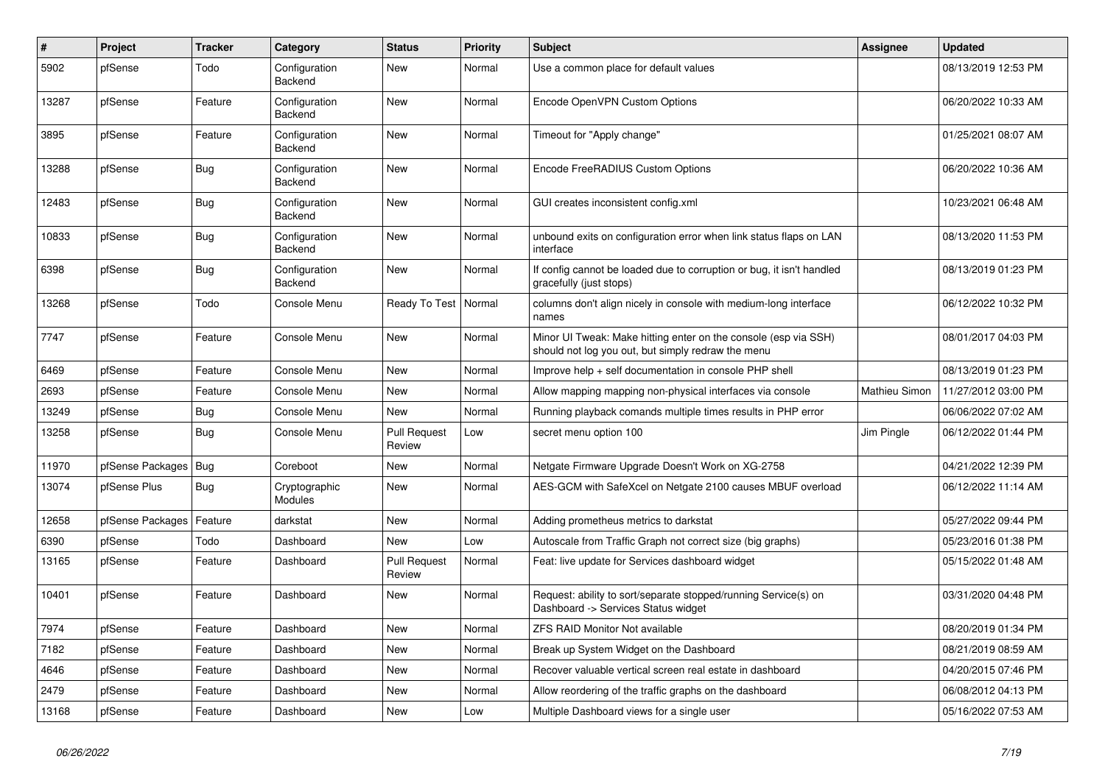| $\#$  | Project          | <b>Tracker</b> | Category                        | <b>Status</b>                 | <b>Priority</b> | <b>Subject</b>                                                                                                        | Assignee      | <b>Updated</b>      |
|-------|------------------|----------------|---------------------------------|-------------------------------|-----------------|-----------------------------------------------------------------------------------------------------------------------|---------------|---------------------|
| 5902  | pfSense          | Todo           | Configuration<br>Backend        | New                           | Normal          | Use a common place for default values                                                                                 |               | 08/13/2019 12:53 PM |
| 13287 | pfSense          | Feature        | Configuration<br>Backend        | <b>New</b>                    | Normal          | Encode OpenVPN Custom Options                                                                                         |               | 06/20/2022 10:33 AM |
| 3895  | pfSense          | Feature        | Configuration<br>Backend        | <b>New</b>                    | Normal          | Timeout for "Apply change"                                                                                            |               | 01/25/2021 08:07 AM |
| 13288 | pfSense          | Bug            | Configuration<br>Backend        | New                           | Normal          | Encode FreeRADIUS Custom Options                                                                                      |               | 06/20/2022 10:36 AM |
| 12483 | pfSense          | <b>Bug</b>     | Configuration<br>Backend        | <b>New</b>                    | Normal          | GUI creates inconsistent config.xml                                                                                   |               | 10/23/2021 06:48 AM |
| 10833 | pfSense          | <b>Bug</b>     | Configuration<br>Backend        | <b>New</b>                    | Normal          | unbound exits on configuration error when link status flaps on LAN<br>interface                                       |               | 08/13/2020 11:53 PM |
| 6398  | pfSense          | Bug            | Configuration<br><b>Backend</b> | <b>New</b>                    | Normal          | If config cannot be loaded due to corruption or bug, it isn't handled<br>gracefully (just stops)                      |               | 08/13/2019 01:23 PM |
| 13268 | pfSense          | Todo           | Console Menu                    | Ready To Test                 | Normal          | columns don't align nicely in console with medium-long interface<br>names                                             |               | 06/12/2022 10:32 PM |
| 7747  | pfSense          | Feature        | Console Menu                    | New                           | Normal          | Minor UI Tweak: Make hitting enter on the console (esp via SSH)<br>should not log you out, but simply redraw the menu |               | 08/01/2017 04:03 PM |
| 6469  | pfSense          | Feature        | Console Menu                    | <b>New</b>                    | Normal          | Improve help + self documentation in console PHP shell                                                                |               | 08/13/2019 01:23 PM |
| 2693  | pfSense          | Feature        | Console Menu                    | New                           | Normal          | Allow mapping mapping non-physical interfaces via console                                                             | Mathieu Simon | 11/27/2012 03:00 PM |
| 13249 | pfSense          | <b>Bug</b>     | Console Menu                    | <b>New</b>                    | Normal          | Running playback comands multiple times results in PHP error                                                          |               | 06/06/2022 07:02 AM |
| 13258 | pfSense          | <b>Bug</b>     | Console Menu                    | <b>Pull Request</b><br>Review | Low             | secret menu option 100                                                                                                | Jim Pingle    | 06/12/2022 01:44 PM |
| 11970 | pfSense Packages | Bug            | Coreboot                        | New                           | Normal          | Netgate Firmware Upgrade Doesn't Work on XG-2758                                                                      |               | 04/21/2022 12:39 PM |
| 13074 | pfSense Plus     | <b>Bug</b>     | Cryptographic<br>Modules        | New                           | Normal          | AES-GCM with SafeXcel on Netgate 2100 causes MBUF overload                                                            |               | 06/12/2022 11:14 AM |
| 12658 | pfSense Packages | Feature        | darkstat                        | <b>New</b>                    | Normal          | Adding prometheus metrics to darkstat                                                                                 |               | 05/27/2022 09:44 PM |
| 6390  | pfSense          | Todo           | Dashboard                       | <b>New</b>                    | Low             | Autoscale from Traffic Graph not correct size (big graphs)                                                            |               | 05/23/2016 01:38 PM |
| 13165 | pfSense          | Feature        | Dashboard                       | <b>Pull Request</b><br>Review | Normal          | Feat: live update for Services dashboard widget                                                                       |               | 05/15/2022 01:48 AM |
| 10401 | pfSense          | Feature        | Dashboard                       | <b>New</b>                    | Normal          | Request: ability to sort/separate stopped/running Service(s) on<br>Dashboard -> Services Status widget                |               | 03/31/2020 04:48 PM |
| 7974  | pfSense          | Feature        | Dashboard                       | <b>New</b>                    | Normal          | <b>ZFS RAID Monitor Not available</b>                                                                                 |               | 08/20/2019 01:34 PM |
| 7182  | pfSense          | Feature        | Dashboard                       | <b>New</b>                    | Normal          | Break up System Widget on the Dashboard                                                                               |               | 08/21/2019 08:59 AM |
| 4646  | pfSense          | Feature        | Dashboard                       | New                           | Normal          | Recover valuable vertical screen real estate in dashboard                                                             |               | 04/20/2015 07:46 PM |
| 2479  | pfSense          | Feature        | Dashboard                       | New                           | Normal          | Allow reordering of the traffic graphs on the dashboard                                                               |               | 06/08/2012 04:13 PM |
| 13168 | pfSense          | Feature        | Dashboard                       | <b>New</b>                    | Low             | Multiple Dashboard views for a single user                                                                            |               | 05/16/2022 07:53 AM |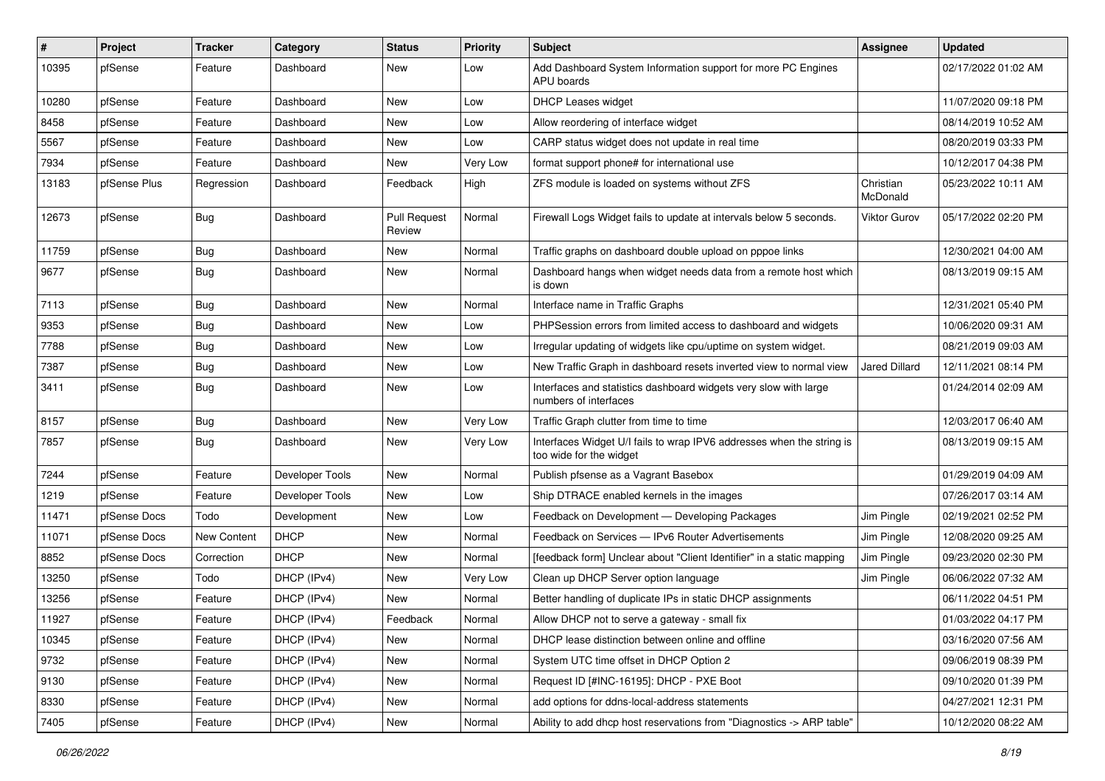| #     | Project      | <b>Tracker</b> | Category        | <b>Status</b>                 | <b>Priority</b> | <b>Subject</b>                                                                                   | <b>Assignee</b>       | <b>Updated</b>      |
|-------|--------------|----------------|-----------------|-------------------------------|-----------------|--------------------------------------------------------------------------------------------------|-----------------------|---------------------|
| 10395 | pfSense      | Feature        | Dashboard       | New                           | Low             | Add Dashboard System Information support for more PC Engines<br>APU boards                       |                       | 02/17/2022 01:02 AM |
| 10280 | pfSense      | Feature        | Dashboard       | New                           | Low             | DHCP Leases widget                                                                               |                       | 11/07/2020 09:18 PM |
| 8458  | pfSense      | Feature        | Dashboard       | New                           | Low             | Allow reordering of interface widget                                                             |                       | 08/14/2019 10:52 AM |
| 5567  | pfSense      | Feature        | Dashboard       | New                           | Low             | CARP status widget does not update in real time                                                  |                       | 08/20/2019 03:33 PM |
| 7934  | pfSense      | Feature        | Dashboard       | New                           | Very Low        | format support phone# for international use                                                      |                       | 10/12/2017 04:38 PM |
| 13183 | pfSense Plus | Regression     | Dashboard       | Feedback                      | High            | ZFS module is loaded on systems without ZFS                                                      | Christian<br>McDonald | 05/23/2022 10:11 AM |
| 12673 | pfSense      | Bug            | Dashboard       | <b>Pull Request</b><br>Review | Normal          | Firewall Logs Widget fails to update at intervals below 5 seconds.                               | <b>Viktor Gurov</b>   | 05/17/2022 02:20 PM |
| 11759 | pfSense      | <b>Bug</b>     | Dashboard       | New                           | Normal          | Traffic graphs on dashboard double upload on pppoe links                                         |                       | 12/30/2021 04:00 AM |
| 9677  | pfSense      | <b>Bug</b>     | Dashboard       | New                           | Normal          | Dashboard hangs when widget needs data from a remote host which<br>is down                       |                       | 08/13/2019 09:15 AM |
| 7113  | pfSense      | <b>Bug</b>     | Dashboard       | New                           | Normal          | Interface name in Traffic Graphs                                                                 |                       | 12/31/2021 05:40 PM |
| 9353  | pfSense      | Bug            | Dashboard       | New                           | Low             | PHPSession errors from limited access to dashboard and widgets                                   |                       | 10/06/2020 09:31 AM |
| 7788  | pfSense      | Bug            | Dashboard       | New                           | Low             | Irregular updating of widgets like cpu/uptime on system widget.                                  |                       | 08/21/2019 09:03 AM |
| 7387  | pfSense      | <b>Bug</b>     | Dashboard       | <b>New</b>                    | Low             | New Traffic Graph in dashboard resets inverted view to normal view                               | <b>Jared Dillard</b>  | 12/11/2021 08:14 PM |
| 3411  | pfSense      | Bug            | Dashboard       | New                           | Low             | Interfaces and statistics dashboard widgets very slow with large<br>numbers of interfaces        |                       | 01/24/2014 02:09 AM |
| 8157  | pfSense      | Bug            | Dashboard       | New                           | Very Low        | Traffic Graph clutter from time to time                                                          |                       | 12/03/2017 06:40 AM |
| 7857  | pfSense      | Bug            | Dashboard       | New                           | Very Low        | Interfaces Widget U/I fails to wrap IPV6 addresses when the string is<br>too wide for the widget |                       | 08/13/2019 09:15 AM |
| 7244  | pfSense      | Feature        | Developer Tools | New                           | Normal          | Publish pfsense as a Vagrant Basebox                                                             |                       | 01/29/2019 04:09 AM |
| 1219  | pfSense      | Feature        | Developer Tools | New                           | Low             | Ship DTRACE enabled kernels in the images                                                        |                       | 07/26/2017 03:14 AM |
| 11471 | pfSense Docs | Todo           | Development     | New                           | Low             | Feedback on Development - Developing Packages                                                    | Jim Pingle            | 02/19/2021 02:52 PM |
| 11071 | pfSense Docs | New Content    | <b>DHCP</b>     | New                           | Normal          | Feedback on Services - IPv6 Router Advertisements                                                | Jim Pingle            | 12/08/2020 09:25 AM |
| 8852  | pfSense Docs | Correction     | DHCP            | New                           | Normal          | [feedback form] Unclear about "Client Identifier" in a static mapping                            | Jim Pingle            | 09/23/2020 02:30 PM |
| 13250 | pfSense      | Todo           | DHCP (IPv4)     | New                           | Very Low        | Clean up DHCP Server option language                                                             | Jim Pingle            | 06/06/2022 07:32 AM |
| 13256 | pfSense      | Feature        | DHCP (IPv4)     | <b>New</b>                    | Normal          | Better handling of duplicate IPs in static DHCP assignments                                      |                       | 06/11/2022 04:51 PM |
| 11927 | pfSense      | Feature        | DHCP (IPv4)     | Feedback                      | Normal          | Allow DHCP not to serve a gateway - small fix                                                    |                       | 01/03/2022 04:17 PM |
| 10345 | pfSense      | Feature        | DHCP (IPv4)     | New                           | Normal          | DHCP lease distinction between online and offline                                                |                       | 03/16/2020 07:56 AM |
| 9732  | pfSense      | Feature        | DHCP (IPv4)     | New                           | Normal          | System UTC time offset in DHCP Option 2                                                          |                       | 09/06/2019 08:39 PM |
| 9130  | pfSense      | Feature        | DHCP (IPv4)     | New                           | Normal          | Request ID [#INC-16195]: DHCP - PXE Boot                                                         |                       | 09/10/2020 01:39 PM |
| 8330  | pfSense      | Feature        | DHCP (IPv4)     | New                           | Normal          | add options for ddns-local-address statements                                                    |                       | 04/27/2021 12:31 PM |
| 7405  | pfSense      | Feature        | DHCP (IPv4)     | New                           | Normal          | Ability to add dhcp host reservations from "Diagnostics -> ARP table"                            |                       | 10/12/2020 08:22 AM |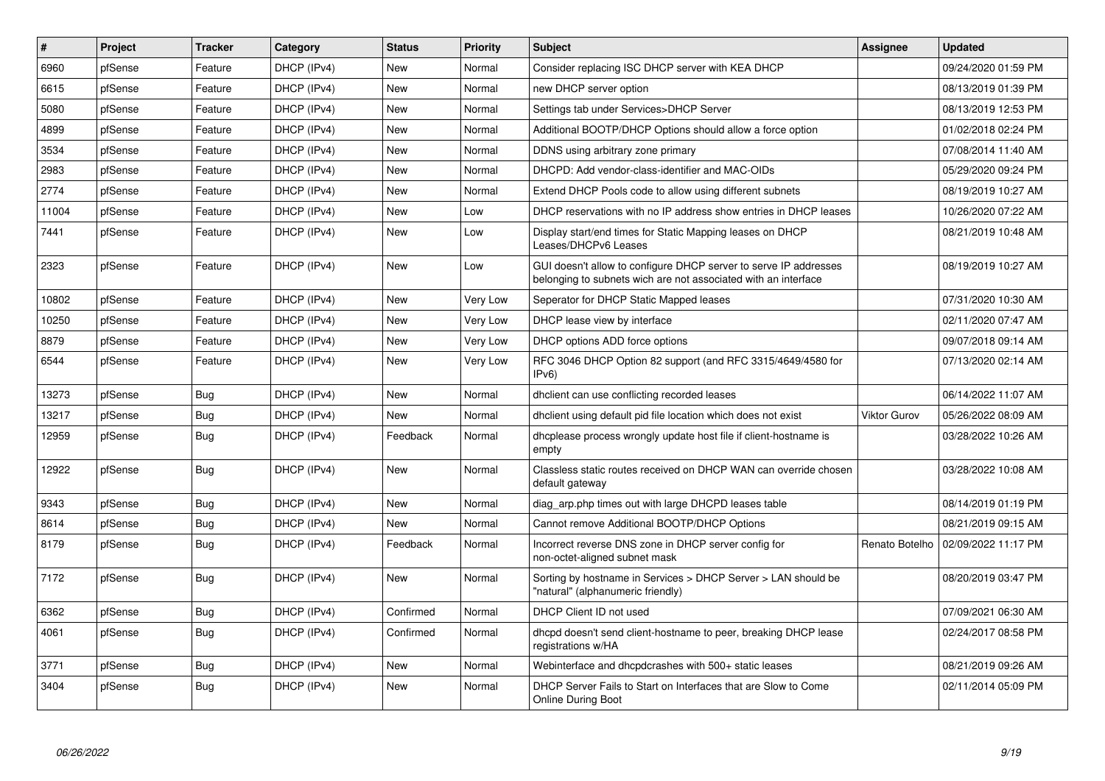| #     | <b>Project</b> | <b>Tracker</b> | Category    | <b>Status</b> | Priority | <b>Subject</b>                                                                                                                     | <b>Assignee</b>     | <b>Updated</b>      |
|-------|----------------|----------------|-------------|---------------|----------|------------------------------------------------------------------------------------------------------------------------------------|---------------------|---------------------|
| 6960  | pfSense        | Feature        | DHCP (IPv4) | New           | Normal   | Consider replacing ISC DHCP server with KEA DHCP                                                                                   |                     | 09/24/2020 01:59 PM |
| 6615  | pfSense        | Feature        | DHCP (IPv4) | New           | Normal   | new DHCP server option                                                                                                             |                     | 08/13/2019 01:39 PM |
| 5080  | pfSense        | Feature        | DHCP (IPv4) | New           | Normal   | Settings tab under Services>DHCP Server                                                                                            |                     | 08/13/2019 12:53 PM |
| 4899  | pfSense        | Feature        | DHCP (IPv4) | <b>New</b>    | Normal   | Additional BOOTP/DHCP Options should allow a force option                                                                          |                     | 01/02/2018 02:24 PM |
| 3534  | pfSense        | Feature        | DHCP (IPv4) | <b>New</b>    | Normal   | DDNS using arbitrary zone primary                                                                                                  |                     | 07/08/2014 11:40 AM |
| 2983  | pfSense        | Feature        | DHCP (IPv4) | <b>New</b>    | Normal   | DHCPD: Add vendor-class-identifier and MAC-OIDs                                                                                    |                     | 05/29/2020 09:24 PM |
| 2774  | pfSense        | Feature        | DHCP (IPv4) | New           | Normal   | Extend DHCP Pools code to allow using different subnets                                                                            |                     | 08/19/2019 10:27 AM |
| 11004 | pfSense        | Feature        | DHCP (IPv4) | <b>New</b>    | Low      | DHCP reservations with no IP address show entries in DHCP leases                                                                   |                     | 10/26/2020 07:22 AM |
| 7441  | pfSense        | Feature        | DHCP (IPv4) | New           | Low      | Display start/end times for Static Mapping leases on DHCP<br>Leases/DHCPv6 Leases                                                  |                     | 08/21/2019 10:48 AM |
| 2323  | pfSense        | Feature        | DHCP (IPv4) | <b>New</b>    | Low      | GUI doesn't allow to configure DHCP server to serve IP addresses<br>belonging to subnets wich are not associated with an interface |                     | 08/19/2019 10:27 AM |
| 10802 | pfSense        | Feature        | DHCP (IPv4) | <b>New</b>    | Very Low | Seperator for DHCP Static Mapped leases                                                                                            |                     | 07/31/2020 10:30 AM |
| 10250 | pfSense        | Feature        | DHCP (IPv4) | New           | Very Low | DHCP lease view by interface                                                                                                       |                     | 02/11/2020 07:47 AM |
| 8879  | pfSense        | Feature        | DHCP (IPv4) | New           | Very Low | DHCP options ADD force options                                                                                                     |                     | 09/07/2018 09:14 AM |
| 6544  | pfSense        | Feature        | DHCP (IPv4) | New           | Very Low | RFC 3046 DHCP Option 82 support (and RFC 3315/4649/4580 for<br>IPv6                                                                |                     | 07/13/2020 02:14 AM |
| 13273 | pfSense        | Bug            | DHCP (IPv4) | <b>New</b>    | Normal   | dholient can use conflicting recorded leases                                                                                       |                     | 06/14/2022 11:07 AM |
| 13217 | pfSense        | <b>Bug</b>     | DHCP (IPv4) | New           | Normal   | dhclient using default pid file location which does not exist                                                                      | <b>Viktor Gurov</b> | 05/26/2022 08:09 AM |
| 12959 | pfSense        | Bug            | DHCP (IPv4) | Feedback      | Normal   | dhoplease process wrongly update host file if client-hostname is<br>empty                                                          |                     | 03/28/2022 10:26 AM |
| 12922 | pfSense        | Bug            | DHCP (IPv4) | New           | Normal   | Classless static routes received on DHCP WAN can override chosen<br>default gateway                                                |                     | 03/28/2022 10:08 AM |
| 9343  | pfSense        | Bug            | DHCP (IPv4) | New           | Normal   | diag_arp.php times out with large DHCPD leases table                                                                               |                     | 08/14/2019 01:19 PM |
| 8614  | pfSense        | Bug            | DHCP (IPv4) | New           | Normal   | Cannot remove Additional BOOTP/DHCP Options                                                                                        |                     | 08/21/2019 09:15 AM |
| 8179  | pfSense        | Bug            | DHCP (IPv4) | Feedback      | Normal   | Incorrect reverse DNS zone in DHCP server config for<br>non-octet-aligned subnet mask                                              | Renato Botelho      | 02/09/2022 11:17 PM |
| 7172  | pfSense        | Bug            | DHCP (IPv4) | New           | Normal   | Sorting by hostname in Services > DHCP Server > LAN should be<br>'natural" (alphanumeric friendly)                                 |                     | 08/20/2019 03:47 PM |
| 6362  | pfSense        | <b>Bug</b>     | DHCP (IPv4) | Confirmed     | Normal   | DHCP Client ID not used                                                                                                            |                     | 07/09/2021 06:30 AM |
| 4061  | pfSense        | Bug            | DHCP (IPv4) | Confirmed     | Normal   | dhopd doesn't send client-hostname to peer, breaking DHCP lease<br>registrations w/HA                                              |                     | 02/24/2017 08:58 PM |
| 3771  | pfSense        | Bug            | DHCP (IPv4) | New           | Normal   | Webinterface and dhcpdcrashes with 500+ static leases                                                                              |                     | 08/21/2019 09:26 AM |
| 3404  | pfSense        | Bug            | DHCP (IPv4) | New           | Normal   | DHCP Server Fails to Start on Interfaces that are Slow to Come<br><b>Online During Boot</b>                                        |                     | 02/11/2014 05:09 PM |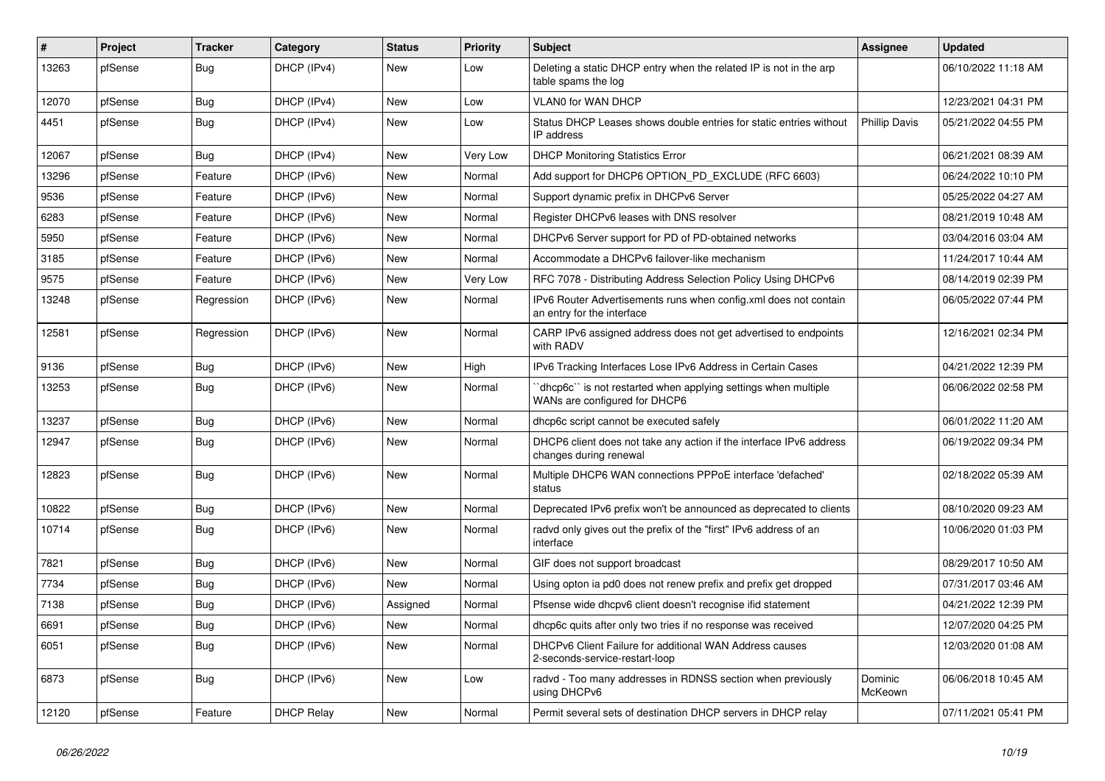| ∦     | Project | Tracker    | Category          | <b>Status</b> | <b>Priority</b> | Subject                                                                                        | <b>Assignee</b>      | <b>Updated</b>      |
|-------|---------|------------|-------------------|---------------|-----------------|------------------------------------------------------------------------------------------------|----------------------|---------------------|
| 13263 | pfSense | <b>Bug</b> | DHCP (IPv4)       | New           | Low             | Deleting a static DHCP entry when the related IP is not in the arp<br>table spams the log      |                      | 06/10/2022 11:18 AM |
| 12070 | pfSense | <b>Bug</b> | DHCP (IPv4)       | New           | Low             | <b>VLANO for WAN DHCP</b>                                                                      |                      | 12/23/2021 04:31 PM |
| 4451  | pfSense | Bug        | DHCP (IPv4)       | New           | Low             | Status DHCP Leases shows double entries for static entries without<br>IP address               | <b>Phillip Davis</b> | 05/21/2022 04:55 PM |
| 12067 | pfSense | <b>Bug</b> | DHCP (IPv4)       | New           | Very Low        | <b>DHCP Monitoring Statistics Error</b>                                                        |                      | 06/21/2021 08:39 AM |
| 13296 | pfSense | Feature    | DHCP (IPv6)       | New           | Normal          | Add support for DHCP6 OPTION_PD_EXCLUDE (RFC 6603)                                             |                      | 06/24/2022 10:10 PM |
| 9536  | pfSense | Feature    | DHCP (IPv6)       | New           | Normal          | Support dynamic prefix in DHCPv6 Server                                                        |                      | 05/25/2022 04:27 AM |
| 6283  | pfSense | Feature    | DHCP (IPv6)       | New           | Normal          | Register DHCPv6 leases with DNS resolver                                                       |                      | 08/21/2019 10:48 AM |
| 5950  | pfSense | Feature    | DHCP (IPv6)       | New           | Normal          | DHCPv6 Server support for PD of PD-obtained networks                                           |                      | 03/04/2016 03:04 AM |
| 3185  | pfSense | Feature    | DHCP (IPv6)       | New           | Normal          | Accommodate a DHCPv6 failover-like mechanism                                                   |                      | 11/24/2017 10:44 AM |
| 9575  | pfSense | Feature    | DHCP (IPv6)       | New           | Very Low        | RFC 7078 - Distributing Address Selection Policy Using DHCPv6                                  |                      | 08/14/2019 02:39 PM |
| 13248 | pfSense | Regression | DHCP (IPv6)       | New           | Normal          | IPv6 Router Advertisements runs when config.xml does not contain<br>an entry for the interface |                      | 06/05/2022 07:44 PM |
| 12581 | pfSense | Regression | DHCP (IPv6)       | New           | Normal          | CARP IPv6 assigned address does not get advertised to endpoints<br>with RADV                   |                      | 12/16/2021 02:34 PM |
| 9136  | pfSense | <b>Bug</b> | DHCP (IPv6)       | <b>New</b>    | High            | IPv6 Tracking Interfaces Lose IPv6 Address in Certain Cases                                    |                      | 04/21/2022 12:39 PM |
| 13253 | pfSense | <b>Bug</b> | DHCP (IPv6)       | New           | Normal          | dhcp6c" is not restarted when applying settings when multiple<br>WANs are configured for DHCP6 |                      | 06/06/2022 02:58 PM |
| 13237 | pfSense | Bug        | DHCP (IPv6)       | New           | Normal          | dhcp6c script cannot be executed safely                                                        |                      | 06/01/2022 11:20 AM |
| 12947 | pfSense | <b>Bug</b> | DHCP (IPv6)       | New           | Normal          | DHCP6 client does not take any action if the interface IPv6 address<br>changes during renewal  |                      | 06/19/2022 09:34 PM |
| 12823 | pfSense | Bug        | DHCP (IPv6)       | New           | Normal          | Multiple DHCP6 WAN connections PPPoE interface 'defached'<br>status                            |                      | 02/18/2022 05:39 AM |
| 10822 | pfSense | <b>Bug</b> | DHCP (IPv6)       | <b>New</b>    | Normal          | Deprecated IPv6 prefix won't be announced as deprecated to clients                             |                      | 08/10/2020 09:23 AM |
| 10714 | pfSense | <b>Bug</b> | DHCP (IPv6)       | New           | Normal          | radvd only gives out the prefix of the "first" IPv6 address of an<br>interface                 |                      | 10/06/2020 01:03 PM |
| 7821  | pfSense | <b>Bug</b> | DHCP (IPv6)       | New           | Normal          | GIF does not support broadcast                                                                 |                      | 08/29/2017 10:50 AM |
| 7734  | pfSense | <b>Bug</b> | DHCP (IPv6)       | New           | Normal          | Using opton ia pd0 does not renew prefix and prefix get dropped                                |                      | 07/31/2017 03:46 AM |
| 7138  | pfSense | <b>Bug</b> | DHCP (IPv6)       | Assigned      | Normal          | Pfsense wide dhcpv6 client doesn't recognise if id statement                                   |                      | 04/21/2022 12:39 PM |
| 6691  | pfSense | <b>Bug</b> | DHCP (IPv6)       | New           | Normal          | dhcp6c quits after only two tries if no response was received                                  |                      | 12/07/2020 04:25 PM |
| 6051  | pfSense | Bug        | DHCP (IPv6)       | New           | Normal          | DHCPv6 Client Failure for additional WAN Address causes<br>2-seconds-service-restart-loop      |                      | 12/03/2020 01:08 AM |
| 6873  | pfSense | Bug        | DHCP (IPv6)       | New           | Low             | radvd - Too many addresses in RDNSS section when previously<br>using DHCPv6                    | Dominic<br>McKeown   | 06/06/2018 10:45 AM |
| 12120 | pfSense | Feature    | <b>DHCP Relay</b> | New           | Normal          | Permit several sets of destination DHCP servers in DHCP relay                                  |                      | 07/11/2021 05:41 PM |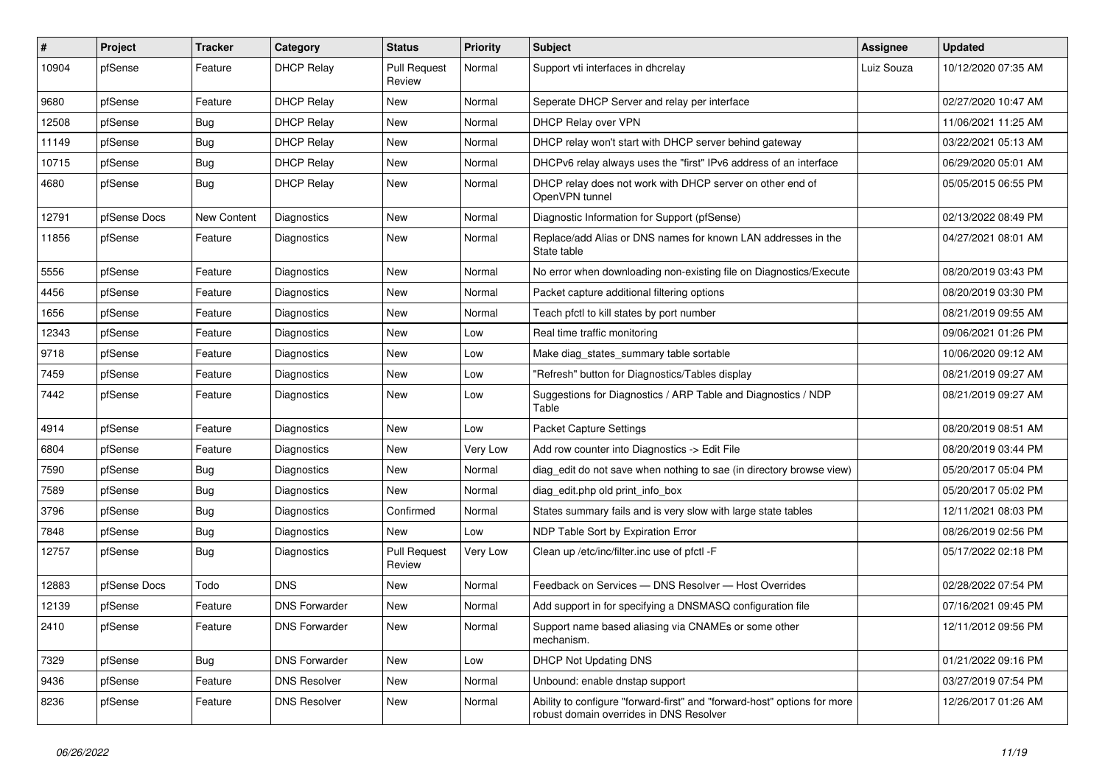| $\vert$ # | Project      | <b>Tracker</b> | Category             | <b>Status</b>                 | <b>Priority</b> | <b>Subject</b>                                                                                                      | <b>Assignee</b> | <b>Updated</b>      |
|-----------|--------------|----------------|----------------------|-------------------------------|-----------------|---------------------------------------------------------------------------------------------------------------------|-----------------|---------------------|
| 10904     | pfSense      | Feature        | <b>DHCP Relay</b>    | <b>Pull Request</b><br>Review | Normal          | Support vti interfaces in dhcrelay                                                                                  | Luiz Souza      | 10/12/2020 07:35 AM |
| 9680      | pfSense      | Feature        | <b>DHCP Relay</b>    | New                           | Normal          | Seperate DHCP Server and relay per interface                                                                        |                 | 02/27/2020 10:47 AM |
| 12508     | pfSense      | <b>Bug</b>     | <b>DHCP Relay</b>    | New                           | Normal          | DHCP Relay over VPN                                                                                                 |                 | 11/06/2021 11:25 AM |
| 11149     | pfSense      | Bug            | <b>DHCP Relay</b>    | <b>New</b>                    | Normal          | DHCP relay won't start with DHCP server behind gateway                                                              |                 | 03/22/2021 05:13 AM |
| 10715     | pfSense      | <b>Bug</b>     | <b>DHCP Relay</b>    | New                           | Normal          | DHCPv6 relay always uses the "first" IPv6 address of an interface                                                   |                 | 06/29/2020 05:01 AM |
| 4680      | pfSense      | Bug            | <b>DHCP Relay</b>    | New                           | Normal          | DHCP relay does not work with DHCP server on other end of<br>OpenVPN tunnel                                         |                 | 05/05/2015 06:55 PM |
| 12791     | pfSense Docs | New Content    | Diagnostics          | <b>New</b>                    | Normal          | Diagnostic Information for Support (pfSense)                                                                        |                 | 02/13/2022 08:49 PM |
| 11856     | pfSense      | Feature        | Diagnostics          | New                           | Normal          | Replace/add Alias or DNS names for known LAN addresses in the<br>State table                                        |                 | 04/27/2021 08:01 AM |
| 5556      | pfSense      | Feature        | Diagnostics          | <b>New</b>                    | Normal          | No error when downloading non-existing file on Diagnostics/Execute                                                  |                 | 08/20/2019 03:43 PM |
| 4456      | pfSense      | Feature        | Diagnostics          | <b>New</b>                    | Normal          | Packet capture additional filtering options                                                                         |                 | 08/20/2019 03:30 PM |
| 1656      | pfSense      | Feature        | <b>Diagnostics</b>   | New                           | Normal          | Teach pfctl to kill states by port number                                                                           |                 | 08/21/2019 09:55 AM |
| 12343     | pfSense      | Feature        | <b>Diagnostics</b>   | New                           | Low             | Real time traffic monitoring                                                                                        |                 | 09/06/2021 01:26 PM |
| 9718      | pfSense      | Feature        | Diagnostics          | New                           | Low             | Make diag states summary table sortable                                                                             |                 | 10/06/2020 09:12 AM |
| 7459      | pfSense      | Feature        | Diagnostics          | New                           | Low             | 'Refresh" button for Diagnostics/Tables display                                                                     |                 | 08/21/2019 09:27 AM |
| 7442      | pfSense      | Feature        | <b>Diagnostics</b>   | <b>New</b>                    | Low             | Suggestions for Diagnostics / ARP Table and Diagnostics / NDP<br>Table                                              |                 | 08/21/2019 09:27 AM |
| 4914      | pfSense      | Feature        | Diagnostics          | <b>New</b>                    | Low             | <b>Packet Capture Settings</b>                                                                                      |                 | 08/20/2019 08:51 AM |
| 6804      | pfSense      | Feature        | Diagnostics          | New                           | Very Low        | Add row counter into Diagnostics -> Edit File                                                                       |                 | 08/20/2019 03:44 PM |
| 7590      | pfSense      | <b>Bug</b>     | Diagnostics          | New                           | Normal          | diag edit do not save when nothing to sae (in directory browse view)                                                |                 | 05/20/2017 05:04 PM |
| 7589      | pfSense      | Bug            | Diagnostics          | New                           | Normal          | diag_edit.php old print_info_box                                                                                    |                 | 05/20/2017 05:02 PM |
| 3796      | pfSense      | Bug            | Diagnostics          | Confirmed                     | Normal          | States summary fails and is very slow with large state tables                                                       |                 | 12/11/2021 08:03 PM |
| 7848      | pfSense      | <b>Bug</b>     | Diagnostics          | <b>New</b>                    | Low             | NDP Table Sort by Expiration Error                                                                                  |                 | 08/26/2019 02:56 PM |
| 12757     | pfSense      | Bug            | Diagnostics          | <b>Pull Request</b><br>Review | Very Low        | Clean up /etc/inc/filter.inc use of pfctl -F                                                                        |                 | 05/17/2022 02:18 PM |
| 12883     | pfSense Docs | Todo           | <b>DNS</b>           | New                           | Normal          | Feedback on Services - DNS Resolver - Host Overrides                                                                |                 | 02/28/2022 07:54 PM |
| 12139     | pfSense      | Feature        | <b>DNS Forwarder</b> | New                           | Normal          | Add support in for specifying a DNSMASQ configuration file                                                          |                 | 07/16/2021 09:45 PM |
| 2410      | ptSense      | Feature        | <b>DNS Forwarder</b> | New                           | Normal          | Support name based aliasing via CNAMEs or some other<br>mechanism.                                                  |                 | 12/11/2012 09:56 PM |
| 7329      | pfSense      | Bug            | <b>DNS Forwarder</b> | New                           | Low             | <b>DHCP Not Updating DNS</b>                                                                                        |                 | 01/21/2022 09:16 PM |
| 9436      | pfSense      | Feature        | <b>DNS Resolver</b>  | New                           | Normal          | Unbound: enable dnstap support                                                                                      |                 | 03/27/2019 07:54 PM |
| 8236      | pfSense      | Feature        | <b>DNS Resolver</b>  | New                           | Normal          | Ability to configure "forward-first" and "forward-host" options for more<br>robust domain overrides in DNS Resolver |                 | 12/26/2017 01:26 AM |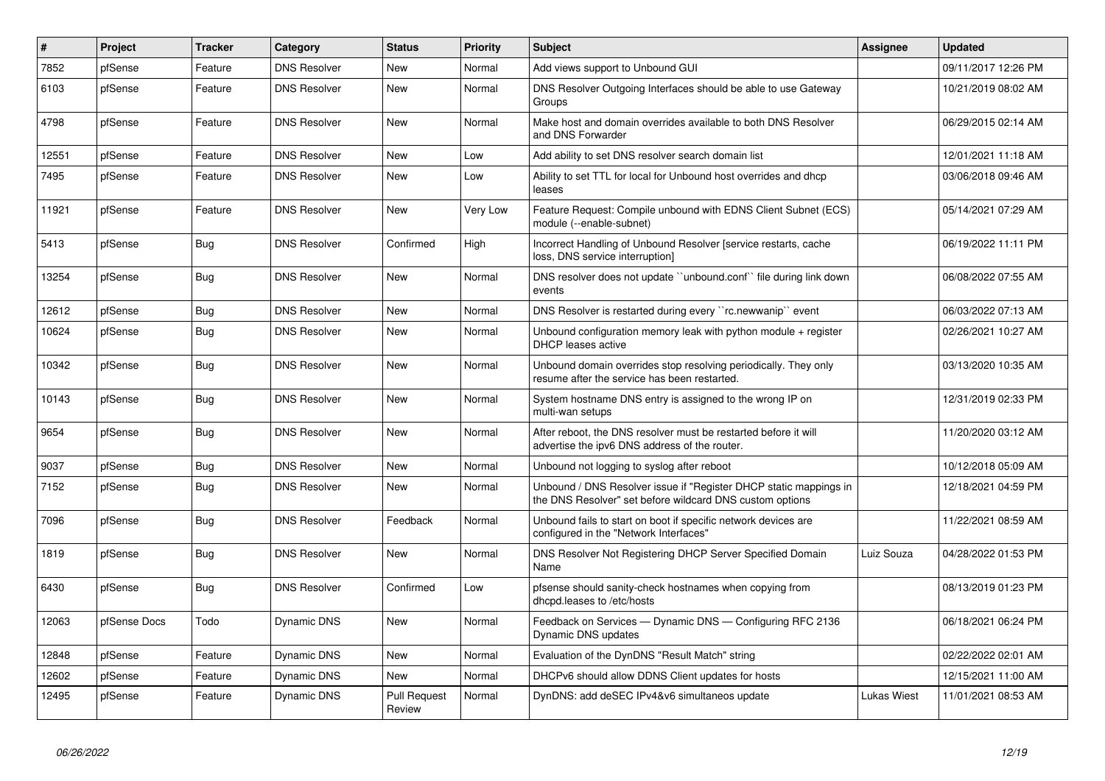| $\vert$ # | Project      | <b>Tracker</b> | Category            | <b>Status</b>                 | <b>Priority</b> | <b>Subject</b>                                                                                                                | Assignee           | <b>Updated</b>      |
|-----------|--------------|----------------|---------------------|-------------------------------|-----------------|-------------------------------------------------------------------------------------------------------------------------------|--------------------|---------------------|
| 7852      | pfSense      | Feature        | <b>DNS Resolver</b> | <b>New</b>                    | Normal          | Add views support to Unbound GUI                                                                                              |                    | 09/11/2017 12:26 PM |
| 6103      | pfSense      | Feature        | <b>DNS Resolver</b> | <b>New</b>                    | Normal          | DNS Resolver Outgoing Interfaces should be able to use Gateway<br>Groups                                                      |                    | 10/21/2019 08:02 AM |
| 4798      | pfSense      | Feature        | <b>DNS Resolver</b> | New                           | Normal          | Make host and domain overrides available to both DNS Resolver<br>and DNS Forwarder                                            |                    | 06/29/2015 02:14 AM |
| 12551     | pfSense      | Feature        | <b>DNS Resolver</b> | <b>New</b>                    | Low             | Add ability to set DNS resolver search domain list                                                                            |                    | 12/01/2021 11:18 AM |
| 7495      | pfSense      | Feature        | <b>DNS Resolver</b> | New                           | Low             | Ability to set TTL for local for Unbound host overrides and dhcp<br>leases                                                    |                    | 03/06/2018 09:46 AM |
| 11921     | pfSense      | Feature        | <b>DNS Resolver</b> | <b>New</b>                    | Very Low        | Feature Request: Compile unbound with EDNS Client Subnet (ECS)<br>module (--enable-subnet)                                    |                    | 05/14/2021 07:29 AM |
| 5413      | pfSense      | Bug            | <b>DNS Resolver</b> | Confirmed                     | High            | Incorrect Handling of Unbound Resolver [service restarts, cache<br>loss, DNS service interruption]                            |                    | 06/19/2022 11:11 PM |
| 13254     | pfSense      | Bug            | <b>DNS Resolver</b> | New                           | Normal          | DNS resolver does not update "unbound.conf" file during link down<br>events                                                   |                    | 06/08/2022 07:55 AM |
| 12612     | pfSense      | Bug            | <b>DNS Resolver</b> | <b>New</b>                    | Normal          | DNS Resolver is restarted during every "rc.newwanip" event                                                                    |                    | 06/03/2022 07:13 AM |
| 10624     | pfSense      | Bug            | <b>DNS Resolver</b> | New                           | Normal          | Unbound configuration memory leak with python module $+$ register<br><b>DHCP</b> leases active                                |                    | 02/26/2021 10:27 AM |
| 10342     | pfSense      | <b>Bug</b>     | <b>DNS Resolver</b> | <b>New</b>                    | Normal          | Unbound domain overrides stop resolving periodically. They only<br>resume after the service has been restarted.               |                    | 03/13/2020 10:35 AM |
| 10143     | pfSense      | Bug            | <b>DNS Resolver</b> | New                           | Normal          | System hostname DNS entry is assigned to the wrong IP on<br>multi-wan setups                                                  |                    | 12/31/2019 02:33 PM |
| 9654      | pfSense      | Bug            | <b>DNS Resolver</b> | New                           | Normal          | After reboot, the DNS resolver must be restarted before it will<br>advertise the ipv6 DNS address of the router.              |                    | 11/20/2020 03:12 AM |
| 9037      | pfSense      | Bug            | <b>DNS Resolver</b> | <b>New</b>                    | Normal          | Unbound not logging to syslog after reboot                                                                                    |                    | 10/12/2018 05:09 AM |
| 7152      | pfSense      | Bug            | <b>DNS Resolver</b> | New                           | Normal          | Unbound / DNS Resolver issue if "Register DHCP static mappings in<br>the DNS Resolver" set before wildcard DNS custom options |                    | 12/18/2021 04:59 PM |
| 7096      | pfSense      | <b>Bug</b>     | <b>DNS Resolver</b> | Feedback                      | Normal          | Unbound fails to start on boot if specific network devices are<br>configured in the "Network Interfaces"                      |                    | 11/22/2021 08:59 AM |
| 1819      | pfSense      | Bug            | <b>DNS Resolver</b> | <b>New</b>                    | Normal          | DNS Resolver Not Registering DHCP Server Specified Domain<br>Name                                                             | Luiz Souza         | 04/28/2022 01:53 PM |
| 6430      | pfSense      | Bug            | <b>DNS Resolver</b> | Confirmed                     | Low             | pfsense should sanity-check hostnames when copying from<br>dhcpd.leases to /etc/hosts                                         |                    | 08/13/2019 01:23 PM |
| 12063     | pfSense Docs | Todo           | Dynamic DNS         | <b>New</b>                    | Normal          | Feedback on Services - Dynamic DNS - Configuring RFC 2136<br>Dynamic DNS updates                                              |                    | 06/18/2021 06:24 PM |
| 12848     | pfSense      | Feature        | Dynamic DNS         | <b>New</b>                    | Normal          | Evaluation of the DynDNS "Result Match" string                                                                                |                    | 02/22/2022 02:01 AM |
| 12602     | pfSense      | Feature        | Dynamic DNS         | <b>New</b>                    | Normal          | DHCPv6 should allow DDNS Client updates for hosts                                                                             |                    | 12/15/2021 11:00 AM |
| 12495     | pfSense      | Feature        | Dynamic DNS         | <b>Pull Request</b><br>Review | Normal          | DynDNS: add deSEC IPv4&v6 simultaneos update                                                                                  | <b>Lukas Wiest</b> | 11/01/2021 08:53 AM |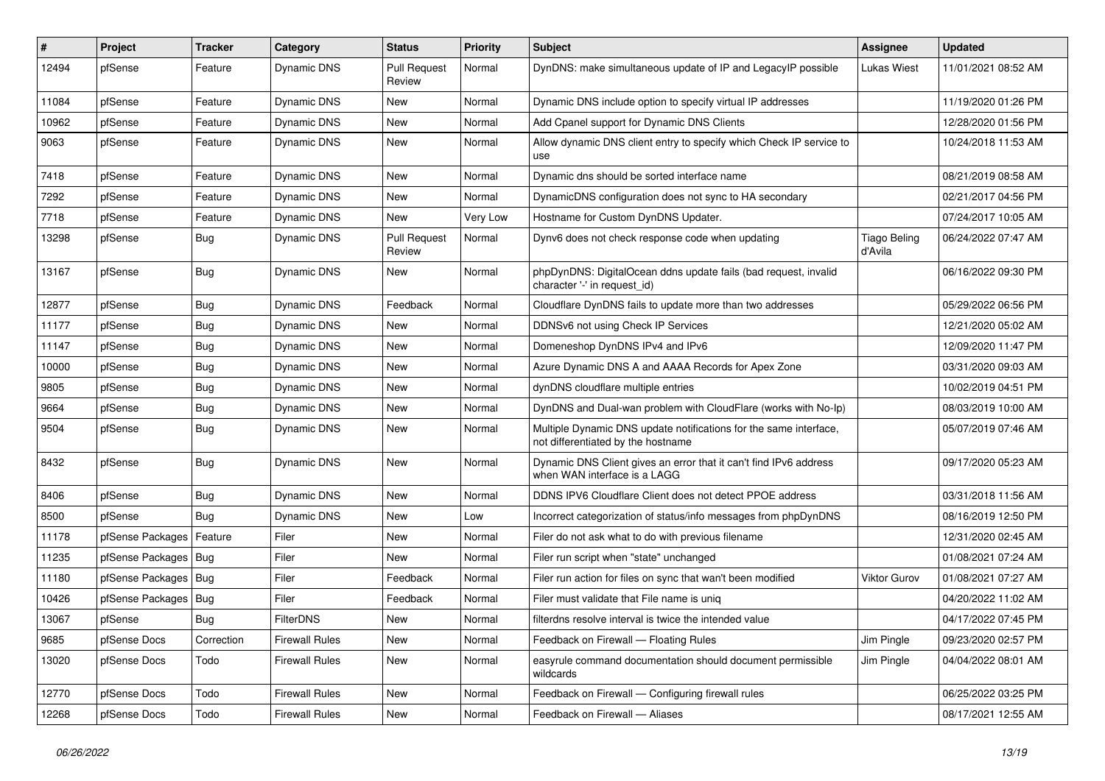| #     | Project                | <b>Tracker</b> | Category              | <b>Status</b>                 | <b>Priority</b> | <b>Subject</b>                                                                                          | <b>Assignee</b>                | <b>Updated</b>      |
|-------|------------------------|----------------|-----------------------|-------------------------------|-----------------|---------------------------------------------------------------------------------------------------------|--------------------------------|---------------------|
| 12494 | pfSense                | Feature        | Dynamic DNS           | <b>Pull Request</b><br>Review | Normal          | DynDNS: make simultaneous update of IP and LegacyIP possible                                            | <b>Lukas Wiest</b>             | 11/01/2021 08:52 AM |
| 11084 | pfSense                | Feature        | Dynamic DNS           | New                           | Normal          | Dynamic DNS include option to specify virtual IP addresses                                              |                                | 11/19/2020 01:26 PM |
| 10962 | pfSense                | Feature        | Dynamic DNS           | New                           | Normal          | Add Cpanel support for Dynamic DNS Clients                                                              |                                | 12/28/2020 01:56 PM |
| 9063  | pfSense                | Feature        | Dynamic DNS           | New                           | Normal          | Allow dynamic DNS client entry to specify which Check IP service to<br>use                              |                                | 10/24/2018 11:53 AM |
| 7418  | pfSense                | Feature        | Dynamic DNS           | New                           | Normal          | Dynamic dns should be sorted interface name                                                             |                                | 08/21/2019 08:58 AM |
| 7292  | pfSense                | Feature        | Dynamic DNS           | New                           | Normal          | DynamicDNS configuration does not sync to HA secondary                                                  |                                | 02/21/2017 04:56 PM |
| 7718  | pfSense                | Feature        | Dynamic DNS           | New                           | Very Low        | Hostname for Custom DynDNS Updater.                                                                     |                                | 07/24/2017 10:05 AM |
| 13298 | pfSense                | Bug            | Dynamic DNS           | <b>Pull Request</b><br>Review | Normal          | Dynv6 does not check response code when updating                                                        | <b>Tiago Beling</b><br>d'Avila | 06/24/2022 07:47 AM |
| 13167 | pfSense                | <b>Bug</b>     | Dynamic DNS           | New                           | Normal          | phpDynDNS: DigitalOcean ddns update fails (bad request, invalid<br>character '-' in request id)         |                                | 06/16/2022 09:30 PM |
| 12877 | pfSense                | <b>Bug</b>     | Dynamic DNS           | Feedback                      | Normal          | Cloudflare DynDNS fails to update more than two addresses                                               |                                | 05/29/2022 06:56 PM |
| 11177 | pfSense                | Bug            | Dynamic DNS           | New                           | Normal          | DDNSv6 not using Check IP Services                                                                      |                                | 12/21/2020 05:02 AM |
| 11147 | pfSense                | <b>Bug</b>     | Dynamic DNS           | New                           | Normal          | Domeneshop DynDNS IPv4 and IPv6                                                                         |                                | 12/09/2020 11:47 PM |
| 10000 | pfSense                | <b>Bug</b>     | Dynamic DNS           | New                           | Normal          | Azure Dynamic DNS A and AAAA Records for Apex Zone                                                      |                                | 03/31/2020 09:03 AM |
| 9805  | pfSense                | Bug            | Dynamic DNS           | New                           | Normal          | dynDNS cloudflare multiple entries                                                                      |                                | 10/02/2019 04:51 PM |
| 9664  | pfSense                | <b>Bug</b>     | Dynamic DNS           | New                           | Normal          | DynDNS and Dual-wan problem with CloudFlare (works with No-Ip)                                          |                                | 08/03/2019 10:00 AM |
| 9504  | pfSense                | Bug            | Dynamic DNS           | New                           | Normal          | Multiple Dynamic DNS update notifications for the same interface,<br>not differentiated by the hostname |                                | 05/07/2019 07:46 AM |
| 8432  | pfSense                | <b>Bug</b>     | Dynamic DNS           | New                           | Normal          | Dynamic DNS Client gives an error that it can't find IPv6 address<br>when WAN interface is a LAGG       |                                | 09/17/2020 05:23 AM |
| 8406  | pfSense                | Bug            | Dynamic DNS           | New                           | Normal          | DDNS IPV6 Cloudflare Client does not detect PPOE address                                                |                                | 03/31/2018 11:56 AM |
| 8500  | pfSense                | Bug            | Dynamic DNS           | New                           | Low             | Incorrect categorization of status/info messages from phpDynDNS                                         |                                | 08/16/2019 12:50 PM |
| 11178 | pfSense Packages       | Feature        | Filer                 | New                           | Normal          | Filer do not ask what to do with previous filename                                                      |                                | 12/31/2020 02:45 AM |
| 11235 | pfSense Packages   Bug |                | Filer                 | New                           | Normal          | Filer run script when "state" unchanged                                                                 |                                | 01/08/2021 07:24 AM |
| 11180 | pfSense Packages   Bug |                | Filer                 | Feedback                      | Normal          | Filer run action for files on sync that wan't been modified                                             | <b>Viktor Gurov</b>            | 01/08/2021 07:27 AM |
| 10426 | pfSense Packages       | <b>Bug</b>     | Filer                 | Feedback                      | Normal          | Filer must validate that File name is uniq                                                              |                                | 04/20/2022 11:02 AM |
| 13067 | pfSense                | Bug            | <b>FilterDNS</b>      | New                           | Normal          | filterdns resolve interval is twice the intended value                                                  |                                | 04/17/2022 07:45 PM |
| 9685  | pfSense Docs           | Correction     | <b>Firewall Rules</b> | New                           | Normal          | Feedback on Firewall - Floating Rules                                                                   | Jim Pingle                     | 09/23/2020 02:57 PM |
| 13020 | pfSense Docs           | Todo           | <b>Firewall Rules</b> | New                           | Normal          | easyrule command documentation should document permissible<br>wildcards                                 | Jim Pingle                     | 04/04/2022 08:01 AM |
| 12770 | pfSense Docs           | Todo           | <b>Firewall Rules</b> | New                           | Normal          | Feedback on Firewall - Configuring firewall rules                                                       |                                | 06/25/2022 03:25 PM |
| 12268 | pfSense Docs           | Todo           | <b>Firewall Rules</b> | New                           | Normal          | Feedback on Firewall - Aliases                                                                          |                                | 08/17/2021 12:55 AM |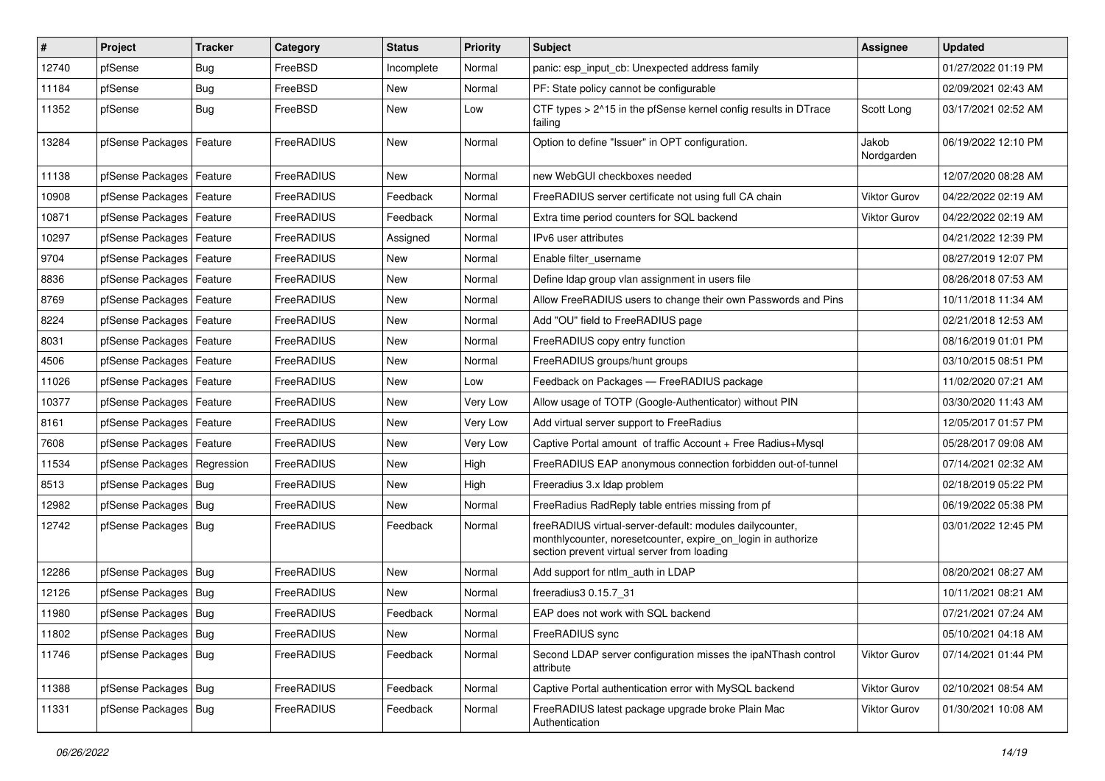| $\vert$ # | Project                       | <b>Tracker</b> | Category          | <b>Status</b> | <b>Priority</b> | Subject                                                                                                                                                                 | <b>Assignee</b>     | <b>Updated</b>      |
|-----------|-------------------------------|----------------|-------------------|---------------|-----------------|-------------------------------------------------------------------------------------------------------------------------------------------------------------------------|---------------------|---------------------|
| 12740     | pfSense                       | <b>Bug</b>     | FreeBSD           | Incomplete    | Normal          | panic: esp input cb: Unexpected address family                                                                                                                          |                     | 01/27/2022 01:19 PM |
| 11184     | pfSense                       | Bug            | FreeBSD           | New           | Normal          | PF: State policy cannot be configurable                                                                                                                                 |                     | 02/09/2021 02:43 AM |
| 11352     | pfSense                       | Bug            | FreeBSD           | New           | Low             | CTF types > 2^15 in the pfSense kernel config results in DTrace<br>failing                                                                                              | Scott Long          | 03/17/2021 02:52 AM |
| 13284     | pfSense Packages              | Feature        | FreeRADIUS        | New           | Normal          | Option to define "Issuer" in OPT configuration.                                                                                                                         | Jakob<br>Nordgarden | 06/19/2022 12:10 PM |
| 11138     | pfSense Packages   Feature    |                | FreeRADIUS        | New           | Normal          | new WebGUI checkboxes needed                                                                                                                                            |                     | 12/07/2020 08:28 AM |
| 10908     | pfSense Packages   Feature    |                | FreeRADIUS        | Feedback      | Normal          | FreeRADIUS server certificate not using full CA chain                                                                                                                   | Viktor Gurov        | 04/22/2022 02:19 AM |
| 10871     | pfSense Packages   Feature    |                | FreeRADIUS        | Feedback      | Normal          | Extra time period counters for SQL backend                                                                                                                              | <b>Viktor Gurov</b> | 04/22/2022 02:19 AM |
| 10297     | pfSense Packages   Feature    |                | FreeRADIUS        | Assigned      | Normal          | IPv6 user attributes                                                                                                                                                    |                     | 04/21/2022 12:39 PM |
| 9704      | pfSense Packages   Feature    |                | FreeRADIUS        | New           | Normal          | Enable filter username                                                                                                                                                  |                     | 08/27/2019 12:07 PM |
| 8836      | pfSense Packages   Feature    |                | FreeRADIUS        | New           | Normal          | Define Idap group vlan assignment in users file                                                                                                                         |                     | 08/26/2018 07:53 AM |
| 8769      | pfSense Packages   Feature    |                | FreeRADIUS        | New           | Normal          | Allow FreeRADIUS users to change their own Passwords and Pins                                                                                                           |                     | 10/11/2018 11:34 AM |
| 8224      | pfSense Packages   Feature    |                | FreeRADIUS        | New           | Normal          | Add "OU" field to FreeRADIUS page                                                                                                                                       |                     | 02/21/2018 12:53 AM |
| 8031      | pfSense Packages   Feature    |                | FreeRADIUS        | New           | Normal          | FreeRADIUS copy entry function                                                                                                                                          |                     | 08/16/2019 01:01 PM |
| 4506      | pfSense Packages   Feature    |                | FreeRADIUS        | New           | Normal          | FreeRADIUS groups/hunt groups                                                                                                                                           |                     | 03/10/2015 08:51 PM |
| 11026     | pfSense Packages   Feature    |                | FreeRADIUS        | New           | Low             | Feedback on Packages - FreeRADIUS package                                                                                                                               |                     | 11/02/2020 07:21 AM |
| 10377     | pfSense Packages   Feature    |                | FreeRADIUS        | New           | Very Low        | Allow usage of TOTP (Google-Authenticator) without PIN                                                                                                                  |                     | 03/30/2020 11:43 AM |
| 8161      | pfSense Packages   Feature    |                | FreeRADIUS        | New           | Very Low        | Add virtual server support to FreeRadius                                                                                                                                |                     | 12/05/2017 01:57 PM |
| 7608      | pfSense Packages   Feature    |                | <b>FreeRADIUS</b> | New           | Very Low        | Captive Portal amount of traffic Account + Free Radius+Mysql                                                                                                            |                     | 05/28/2017 09:08 AM |
| 11534     | pfSense Packages   Regression |                | FreeRADIUS        | New           | High            | FreeRADIUS EAP anonymous connection forbidden out-of-tunnel                                                                                                             |                     | 07/14/2021 02:32 AM |
| 8513      | pfSense Packages   Bug        |                | FreeRADIUS        | New           | High            | Freeradius 3.x Idap problem                                                                                                                                             |                     | 02/18/2019 05:22 PM |
| 12982     | pfSense Packages   Bug        |                | FreeRADIUS        | New           | Normal          | FreeRadius RadReply table entries missing from pf                                                                                                                       |                     | 06/19/2022 05:38 PM |
| 12742     | pfSense Packages   Bug        |                | FreeRADIUS        | Feedback      | Normal          | freeRADIUS virtual-server-default: modules dailycounter,<br>monthlycounter, noresetcounter, expire_on_login in authorize<br>section prevent virtual server from loading |                     | 03/01/2022 12:45 PM |
| 12286     | pfSense Packages   Bug        |                | FreeRADIUS        | New           | Normal          | Add support for ntlm_auth in LDAP                                                                                                                                       |                     | 08/20/2021 08:27 AM |
| 12126     | pfSense Packages   Bug        |                | FreeRADIUS        | New           | Normal          | freeradius3 0.15.7 31                                                                                                                                                   |                     | 10/11/2021 08:21 AM |
| 11980     | pfSense Packages   Bug        |                | FreeRADIUS        | Feedback      | Normal          | EAP does not work with SQL backend                                                                                                                                      |                     | 07/21/2021 07:24 AM |
| 11802     | pfSense Packages   Bug        |                | FreeRADIUS        | New           | Normal          | FreeRADIUS sync                                                                                                                                                         |                     | 05/10/2021 04:18 AM |
| 11746     | pfSense Packages   Bug        |                | FreeRADIUS        | Feedback      | Normal          | Second LDAP server configuration misses the ipaNThash control<br>attribute                                                                                              | <b>Viktor Gurov</b> | 07/14/2021 01:44 PM |
| 11388     | pfSense Packages   Bug        |                | FreeRADIUS        | Feedback      | Normal          | Captive Portal authentication error with MySQL backend                                                                                                                  | Viktor Gurov        | 02/10/2021 08:54 AM |
| 11331     | pfSense Packages   Bug        |                | FreeRADIUS        | Feedback      | Normal          | FreeRADIUS latest package upgrade broke Plain Mac<br>Authentication                                                                                                     | <b>Viktor Gurov</b> | 01/30/2021 10:08 AM |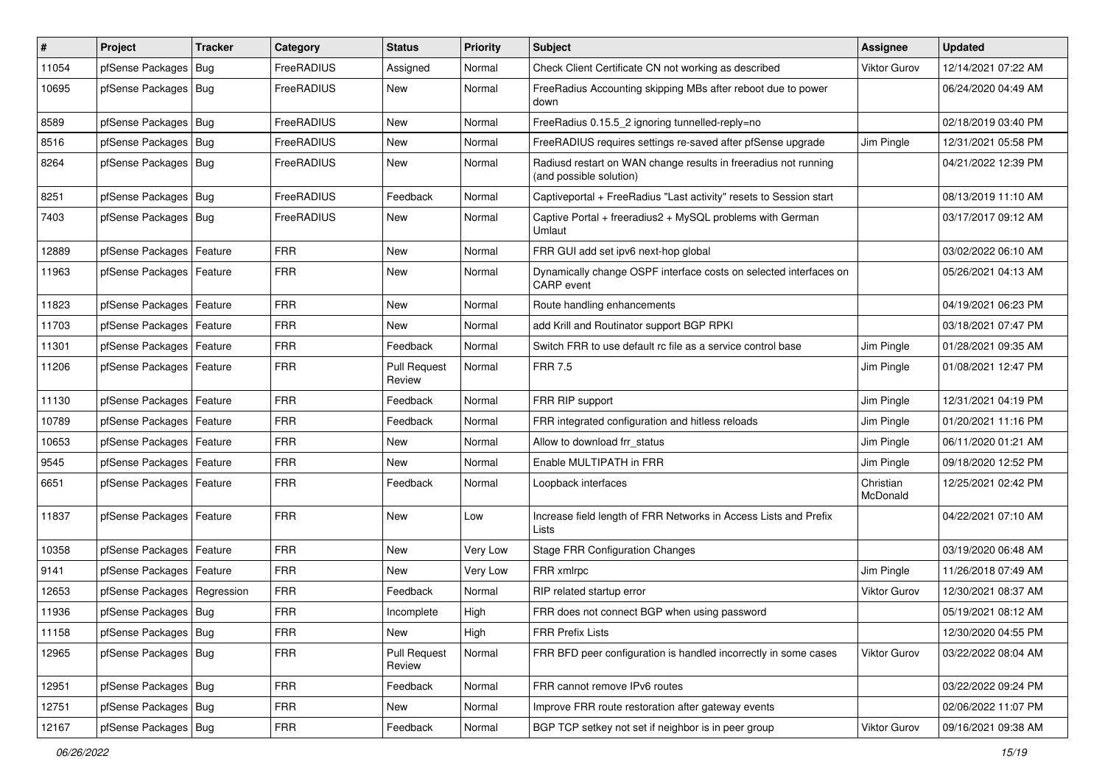| $\vert$ # | Project                       | <b>Tracker</b> | Category   | <b>Status</b>                 | <b>Priority</b> | <b>Subject</b>                                                                             | Assignee              | <b>Updated</b>      |
|-----------|-------------------------------|----------------|------------|-------------------------------|-----------------|--------------------------------------------------------------------------------------------|-----------------------|---------------------|
| 11054     | pfSense Packages              | Bug            | FreeRADIUS | Assigned                      | Normal          | Check Client Certificate CN not working as described                                       | <b>Viktor Gurov</b>   | 12/14/2021 07:22 AM |
| 10695     | pfSense Packages   Bug        |                | FreeRADIUS | New                           | Normal          | FreeRadius Accounting skipping MBs after reboot due to power<br>down                       |                       | 06/24/2020 04:49 AM |
| 8589      | pfSense Packages   Bug        |                | FreeRADIUS | <b>New</b>                    | Normal          | FreeRadius 0.15.5_2 ignoring tunnelled-reply=no                                            |                       | 02/18/2019 03:40 PM |
| 8516      | pfSense Packages              | Bug            | FreeRADIUS | <b>New</b>                    | Normal          | FreeRADIUS requires settings re-saved after pfSense upgrade                                | Jim Pingle            | 12/31/2021 05:58 PM |
| 8264      | pfSense Packages   Bug        |                | FreeRADIUS | New                           | Normal          | Radiusd restart on WAN change results in freeradius not running<br>(and possible solution) |                       | 04/21/2022 12:39 PM |
| 8251      | pfSense Packages   Bug        |                | FreeRADIUS | Feedback                      | Normal          | Captiveportal + FreeRadius "Last activity" resets to Session start                         |                       | 08/13/2019 11:10 AM |
| 7403      | pfSense Packages   Bug        |                | FreeRADIUS | New                           | Normal          | Captive Portal + freeradius2 + MySQL problems with German<br>Umlaut                        |                       | 03/17/2017 09:12 AM |
| 12889     | pfSense Packages              | Feature        | <b>FRR</b> | <b>New</b>                    | Normal          | FRR GUI add set ipv6 next-hop global                                                       |                       | 03/02/2022 06:10 AM |
| 11963     | pfSense Packages   Feature    |                | <b>FRR</b> | <b>New</b>                    | Normal          | Dynamically change OSPF interface costs on selected interfaces on<br>CARP event            |                       | 05/26/2021 04:13 AM |
| 11823     | pfSense Packages   Feature    |                | <b>FRR</b> | New                           | Normal          | Route handling enhancements                                                                |                       | 04/19/2021 06:23 PM |
| 11703     | pfSense Packages   Feature    |                | <b>FRR</b> | New                           | Normal          | add Krill and Routinator support BGP RPKI                                                  |                       | 03/18/2021 07:47 PM |
| 11301     | pfSense Packages   Feature    |                | <b>FRR</b> | Feedback                      | Normal          | Switch FRR to use default rc file as a service control base                                | Jim Pingle            | 01/28/2021 09:35 AM |
| 11206     | pfSense Packages   Feature    |                | <b>FRR</b> | <b>Pull Request</b><br>Review | Normal          | <b>FRR 7.5</b>                                                                             | Jim Pingle            | 01/08/2021 12:47 PM |
| 11130     | pfSense Packages   Feature    |                | <b>FRR</b> | Feedback                      | Normal          | FRR RIP support                                                                            | Jim Pingle            | 12/31/2021 04:19 PM |
| 10789     | pfSense Packages   Feature    |                | <b>FRR</b> | Feedback                      | Normal          | FRR integrated configuration and hitless reloads                                           | Jim Pingle            | 01/20/2021 11:16 PM |
| 10653     | pfSense Packages   Feature    |                | <b>FRR</b> | New                           | Normal          | Allow to download frr status                                                               | Jim Pingle            | 06/11/2020 01:21 AM |
| 9545      | pfSense Packages   Feature    |                | <b>FRR</b> | New                           | Normal          | Enable MULTIPATH in FRR                                                                    | Jim Pingle            | 09/18/2020 12:52 PM |
| 6651      | pfSense Packages   Feature    |                | <b>FRR</b> | Feedback                      | Normal          | Loopback interfaces                                                                        | Christian<br>McDonald | 12/25/2021 02:42 PM |
| 11837     | pfSense Packages   Feature    |                | <b>FRR</b> | New                           | Low             | Increase field length of FRR Networks in Access Lists and Prefix<br>Lists                  |                       | 04/22/2021 07:10 AM |
| 10358     | pfSense Packages   Feature    |                | <b>FRR</b> | <b>New</b>                    | Very Low        | <b>Stage FRR Configuration Changes</b>                                                     |                       | 03/19/2020 06:48 AM |
| 9141      | pfSense Packages   Feature    |                | <b>FRR</b> | New                           | Very Low        | FRR xmlrpc                                                                                 | Jim Pingle            | 11/26/2018 07:49 AM |
| 12653     | pfSense Packages   Regression |                | <b>FRR</b> | Feedback                      | Normal          | RIP related startup error                                                                  | <b>Viktor Gurov</b>   | 12/30/2021 08:37 AM |
| 11936     | pfSense Packages   Bug        |                | FRR        | Incomplete                    | High            | FRR does not connect BGP when using password                                               |                       | 05/19/2021 08:12 AM |
| 11158     | pfSense Packages   Bug        |                | <b>FRR</b> | New                           | High            | <b>FRR Prefix Lists</b>                                                                    |                       | 12/30/2020 04:55 PM |
| 12965     | pfSense Packages   Bug        |                | <b>FRR</b> | <b>Pull Request</b><br>Review | Normal          | FRR BFD peer configuration is handled incorrectly in some cases                            | Viktor Gurov          | 03/22/2022 08:04 AM |
| 12951     | pfSense Packages   Bug        |                | <b>FRR</b> | Feedback                      | Normal          | FRR cannot remove IPv6 routes                                                              |                       | 03/22/2022 09:24 PM |
| 12751     | pfSense Packages   Bug        |                | <b>FRR</b> | New                           | Normal          | Improve FRR route restoration after gateway events                                         |                       | 02/06/2022 11:07 PM |
| 12167     | pfSense Packages   Bug        |                | <b>FRR</b> | Feedback                      | Normal          | BGP TCP setkey not set if neighbor is in peer group                                        | Viktor Gurov          | 09/16/2021 09:38 AM |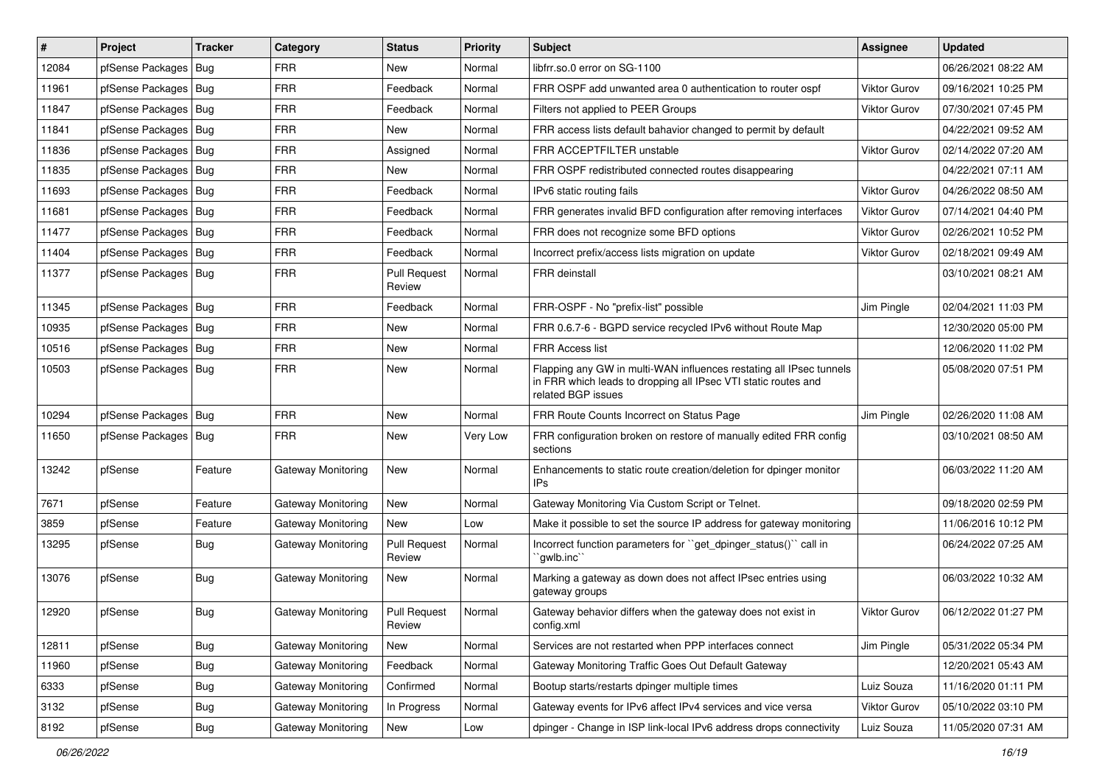| #     | Project                | <b>Tracker</b> | Category           | <b>Status</b>                 | <b>Priority</b> | Subject                                                                                                                                                     | Assignee            | <b>Updated</b>      |
|-------|------------------------|----------------|--------------------|-------------------------------|-----------------|-------------------------------------------------------------------------------------------------------------------------------------------------------------|---------------------|---------------------|
| 12084 | pfSense Packages       | Bug            | FRR                | <b>New</b>                    | Normal          | libfrr.so.0 error on SG-1100                                                                                                                                |                     | 06/26/2021 08:22 AM |
| 11961 | pfSense Packages   Bug |                | <b>FRR</b>         | Feedback                      | Normal          | FRR OSPF add unwanted area 0 authentication to router ospf                                                                                                  | <b>Viktor Gurov</b> | 09/16/2021 10:25 PM |
| 11847 | pfSense Packages       | Bug            | <b>FRR</b>         | Feedback                      | Normal          | Filters not applied to PEER Groups                                                                                                                          | Viktor Gurov        | 07/30/2021 07:45 PM |
| 11841 | pfSense Packages       | Bug            | <b>FRR</b>         | New                           | Normal          | FRR access lists default bahavior changed to permit by default                                                                                              |                     | 04/22/2021 09:52 AM |
| 11836 | pfSense Packages       | Bug            | <b>FRR</b>         | Assigned                      | Normal          | FRR ACCEPTFILTER unstable                                                                                                                                   | <b>Viktor Gurov</b> | 02/14/2022 07:20 AM |
| 11835 | pfSense Packages   Bug |                | <b>FRR</b>         | New                           | Normal          | FRR OSPF redistributed connected routes disappearing                                                                                                        |                     | 04/22/2021 07:11 AM |
| 11693 | pfSense Packages   Bug |                | <b>FRR</b>         | Feedback                      | Normal          | IPv6 static routing fails                                                                                                                                   | <b>Viktor Gurov</b> | 04/26/2022 08:50 AM |
| 11681 | pfSense Packages       | Bug            | <b>FRR</b>         | Feedback                      | Normal          | FRR generates invalid BFD configuration after removing interfaces                                                                                           | <b>Viktor Gurov</b> | 07/14/2021 04:40 PM |
| 11477 | pfSense Packages   Bug |                | <b>FRR</b>         | Feedback                      | Normal          | FRR does not recognize some BFD options                                                                                                                     | <b>Viktor Gurov</b> | 02/26/2021 10:52 PM |
| 11404 | pfSense Packages   Bug |                | <b>FRR</b>         | Feedback                      | Normal          | Incorrect prefix/access lists migration on update                                                                                                           | <b>Viktor Gurov</b> | 02/18/2021 09:49 AM |
| 11377 | pfSense Packages   Bug |                | <b>FRR</b>         | <b>Pull Request</b><br>Review | Normal          | <b>FRR</b> deinstall                                                                                                                                        |                     | 03/10/2021 08:21 AM |
| 11345 | pfSense Packages   Bug |                | <b>FRR</b>         | Feedback                      | Normal          | FRR-OSPF - No "prefix-list" possible                                                                                                                        | Jim Pingle          | 02/04/2021 11:03 PM |
| 10935 | pfSense Packages   Bug |                | <b>FRR</b>         | New                           | Normal          | FRR 0.6.7-6 - BGPD service recycled IPv6 without Route Map                                                                                                  |                     | 12/30/2020 05:00 PM |
| 10516 | pfSense Packages   Bug |                | <b>FRR</b>         | New                           | Normal          | <b>FRR Access list</b>                                                                                                                                      |                     | 12/06/2020 11:02 PM |
| 10503 | pfSense Packages   Bug |                | <b>FRR</b>         | New                           | Normal          | Flapping any GW in multi-WAN influences restating all IPsec tunnels<br>in FRR which leads to dropping all IPsec VTI static routes and<br>related BGP issues |                     | 05/08/2020 07:51 PM |
| 10294 | pfSense Packages       | Bug            | <b>FRR</b>         | New                           | Normal          | FRR Route Counts Incorrect on Status Page                                                                                                                   | Jim Pingle          | 02/26/2020 11:08 AM |
| 11650 | pfSense Packages   Bug |                | <b>FRR</b>         | New                           | Very Low        | FRR configuration broken on restore of manually edited FRR config<br>sections                                                                               |                     | 03/10/2021 08:50 AM |
| 13242 | pfSense                | Feature        | Gateway Monitoring | New                           | Normal          | Enhancements to static route creation/deletion for dpinger monitor<br>IPs                                                                                   |                     | 06/03/2022 11:20 AM |
| 7671  | pfSense                | Feature        | Gateway Monitoring | <b>New</b>                    | Normal          | Gateway Monitoring Via Custom Script or Telnet.                                                                                                             |                     | 09/18/2020 02:59 PM |
| 3859  | pfSense                | Feature        | Gateway Monitoring | New                           | Low             | Make it possible to set the source IP address for gateway monitoring                                                                                        |                     | 11/06/2016 10:12 PM |
| 13295 | pfSense                | Bug            | Gateway Monitoring | <b>Pull Request</b><br>Review | Normal          | Incorrect function parameters for "get_dpinger_status()" call in<br>`qwlb.inc``                                                                             |                     | 06/24/2022 07:25 AM |
| 13076 | pfSense                | Bug            | Gateway Monitoring | New                           | Normal          | Marking a gateway as down does not affect IPsec entries using<br>gateway groups                                                                             |                     | 06/03/2022 10:32 AM |
| 12920 | pfSense                | Bug            | Gateway Monitoring | <b>Pull Request</b><br>Review | Normal          | Gateway behavior differs when the gateway does not exist in<br>config.xml                                                                                   | <b>Viktor Gurov</b> | 06/12/2022 01:27 PM |
| 12811 | pfSense                | <b>Bug</b>     | Gateway Monitoring | New                           | Normal          | Services are not restarted when PPP interfaces connect                                                                                                      | Jim Pingle          | 05/31/2022 05:34 PM |
| 11960 | pfSense                | <b>Bug</b>     | Gateway Monitoring | Feedback                      | Normal          | Gateway Monitoring Traffic Goes Out Default Gateway                                                                                                         |                     | 12/20/2021 05:43 AM |
| 6333  | pfSense                | <b>Bug</b>     | Gateway Monitoring | Confirmed                     | Normal          | Bootup starts/restarts dpinger multiple times                                                                                                               | Luiz Souza          | 11/16/2020 01:11 PM |
| 3132  | pfSense                | Bug            | Gateway Monitoring | In Progress                   | Normal          | Gateway events for IPv6 affect IPv4 services and vice versa                                                                                                 | Viktor Gurov        | 05/10/2022 03:10 PM |
| 8192  | pfSense                | Bug            | Gateway Monitoring | New                           | Low             | dpinger - Change in ISP link-local IPv6 address drops connectivity                                                                                          | Luiz Souza          | 11/05/2020 07:31 AM |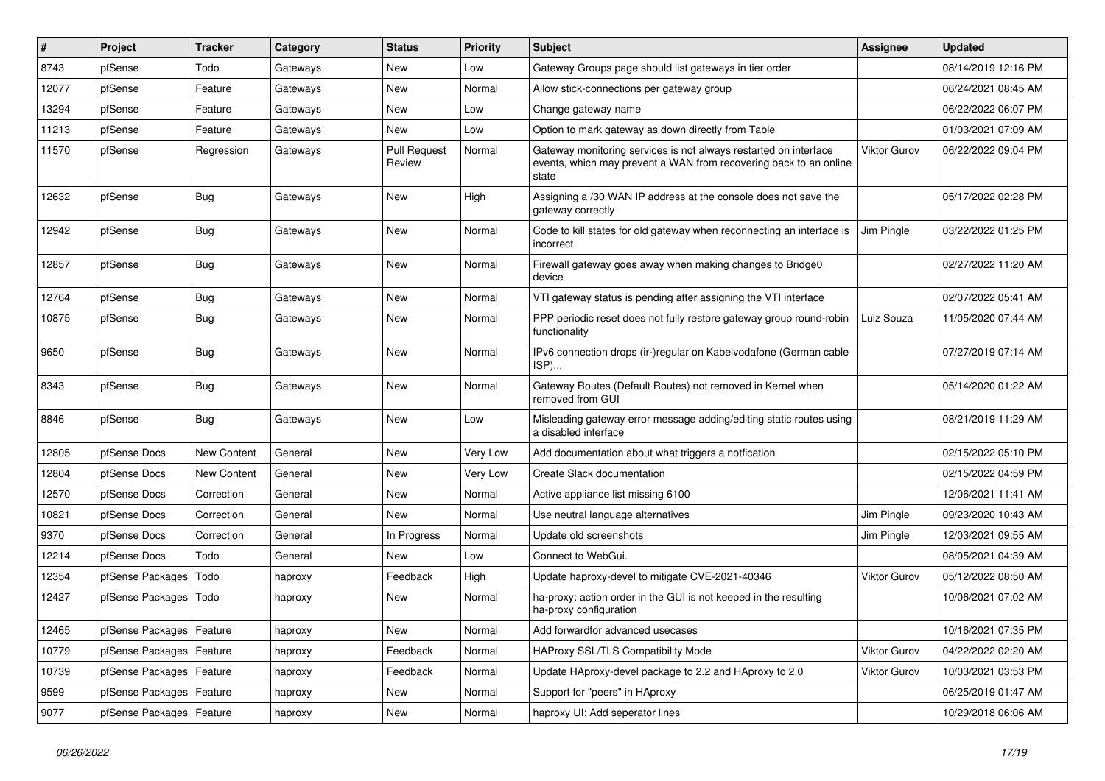| $\pmb{\#}$ | Project                    | <b>Tracker</b>     | Category | <b>Status</b>                 | <b>Priority</b> | <b>Subject</b>                                                                                                                                 | <b>Assignee</b>     | <b>Updated</b>      |
|------------|----------------------------|--------------------|----------|-------------------------------|-----------------|------------------------------------------------------------------------------------------------------------------------------------------------|---------------------|---------------------|
| 8743       | pfSense                    | Todo               | Gateways | New                           | Low             | Gateway Groups page should list gateways in tier order                                                                                         |                     | 08/14/2019 12:16 PM |
| 12077      | pfSense                    | Feature            | Gateways | New                           | Normal          | Allow stick-connections per gateway group                                                                                                      |                     | 06/24/2021 08:45 AM |
| 13294      | pfSense                    | Feature            | Gateways | New                           | Low             | Change gateway name                                                                                                                            |                     | 06/22/2022 06:07 PM |
| 11213      | pfSense                    | Feature            | Gateways | New                           | Low             | Option to mark gateway as down directly from Table                                                                                             |                     | 01/03/2021 07:09 AM |
| 11570      | pfSense                    | Regression         | Gateways | <b>Pull Request</b><br>Review | Normal          | Gateway monitoring services is not always restarted on interface<br>events, which may prevent a WAN from recovering back to an online<br>state | <b>Viktor Gurov</b> | 06/22/2022 09:04 PM |
| 12632      | pfSense                    | Bug                | Gateways | <b>New</b>                    | High            | Assigning a /30 WAN IP address at the console does not save the<br>gateway correctly                                                           |                     | 05/17/2022 02:28 PM |
| 12942      | pfSense                    | <b>Bug</b>         | Gateways | <b>New</b>                    | Normal          | Code to kill states for old gateway when reconnecting an interface is<br>incorrect                                                             | Jim Pingle          | 03/22/2022 01:25 PM |
| 12857      | pfSense                    | Bug                | Gateways | <b>New</b>                    | Normal          | Firewall gateway goes away when making changes to Bridge0<br>device                                                                            |                     | 02/27/2022 11:20 AM |
| 12764      | pfSense                    | Bug                | Gateways | <b>New</b>                    | Normal          | VTI gateway status is pending after assigning the VTI interface                                                                                |                     | 02/07/2022 05:41 AM |
| 10875      | pfSense                    | Bug                | Gateways | New                           | Normal          | PPP periodic reset does not fully restore gateway group round-robin<br>functionality                                                           | Luiz Souza          | 11/05/2020 07:44 AM |
| 9650       | pfSense                    | Bug                | Gateways | New                           | Normal          | IPv6 connection drops (ir-)regular on Kabelvodafone (German cable<br>ISP)                                                                      |                     | 07/27/2019 07:14 AM |
| 8343       | pfSense                    | <b>Bug</b>         | Gateways | <b>New</b>                    | Normal          | Gateway Routes (Default Routes) not removed in Kernel when<br>removed from GUI                                                                 |                     | 05/14/2020 01:22 AM |
| 8846       | pfSense                    | <b>Bug</b>         | Gateways | <b>New</b>                    | Low             | Misleading gateway error message adding/editing static routes using<br>a disabled interface                                                    |                     | 08/21/2019 11:29 AM |
| 12805      | pfSense Docs               | <b>New Content</b> | General  | <b>New</b>                    | Very Low        | Add documentation about what triggers a notfication                                                                                            |                     | 02/15/2022 05:10 PM |
| 12804      | pfSense Docs               | <b>New Content</b> | General  | New                           | Very Low        | Create Slack documentation                                                                                                                     |                     | 02/15/2022 04:59 PM |
| 12570      | pfSense Docs               | Correction         | General  | New                           | Normal          | Active appliance list missing 6100                                                                                                             |                     | 12/06/2021 11:41 AM |
| 10821      | pfSense Docs               | Correction         | General  | New                           | Normal          | Use neutral language alternatives                                                                                                              | Jim Pingle          | 09/23/2020 10:43 AM |
| 9370       | pfSense Docs               | Correction         | General  | In Progress                   | Normal          | Update old screenshots                                                                                                                         | Jim Pingle          | 12/03/2021 09:55 AM |
| 12214      | pfSense Docs               | Todo               | General  | New                           | Low             | Connect to WebGui.                                                                                                                             |                     | 08/05/2021 04:39 AM |
| 12354      | pfSense Packages           | Todo               | haproxy  | Feedback                      | High            | Update haproxy-devel to mitigate CVE-2021-40346                                                                                                | <b>Viktor Gurov</b> | 05/12/2022 08:50 AM |
| 12427      | pfSense Packages           | Todo               | haproxy  | New                           | Normal          | ha-proxy: action order in the GUI is not keeped in the resulting<br>ha-proxy configuration                                                     |                     | 10/06/2021 07:02 AM |
| 12465      | pfSense Packages           | Feature            | haproxy  | <b>New</b>                    | Normal          | Add forwardfor advanced usecases                                                                                                               |                     | 10/16/2021 07:35 PM |
| 10779      | pfSense Packages           | Feature            | haproxy  | Feedback                      | Normal          | <b>HAProxy SSL/TLS Compatibility Mode</b>                                                                                                      | <b>Viktor Gurov</b> | 04/22/2022 02:20 AM |
| 10739      | pfSense Packages           | Feature            | haproxy  | Feedback                      | Normal          | Update HAproxy-devel package to 2.2 and HAproxy to 2.0                                                                                         | <b>Viktor Gurov</b> | 10/03/2021 03:53 PM |
| 9599       | pfSense Packages           | Feature            | haproxy  | <b>New</b>                    | Normal          | Support for "peers" in HAproxy                                                                                                                 |                     | 06/25/2019 01:47 AM |
| 9077       | pfSense Packages   Feature |                    | haproxy  | <b>New</b>                    | Normal          | haproxy UI: Add seperator lines                                                                                                                |                     | 10/29/2018 06:06 AM |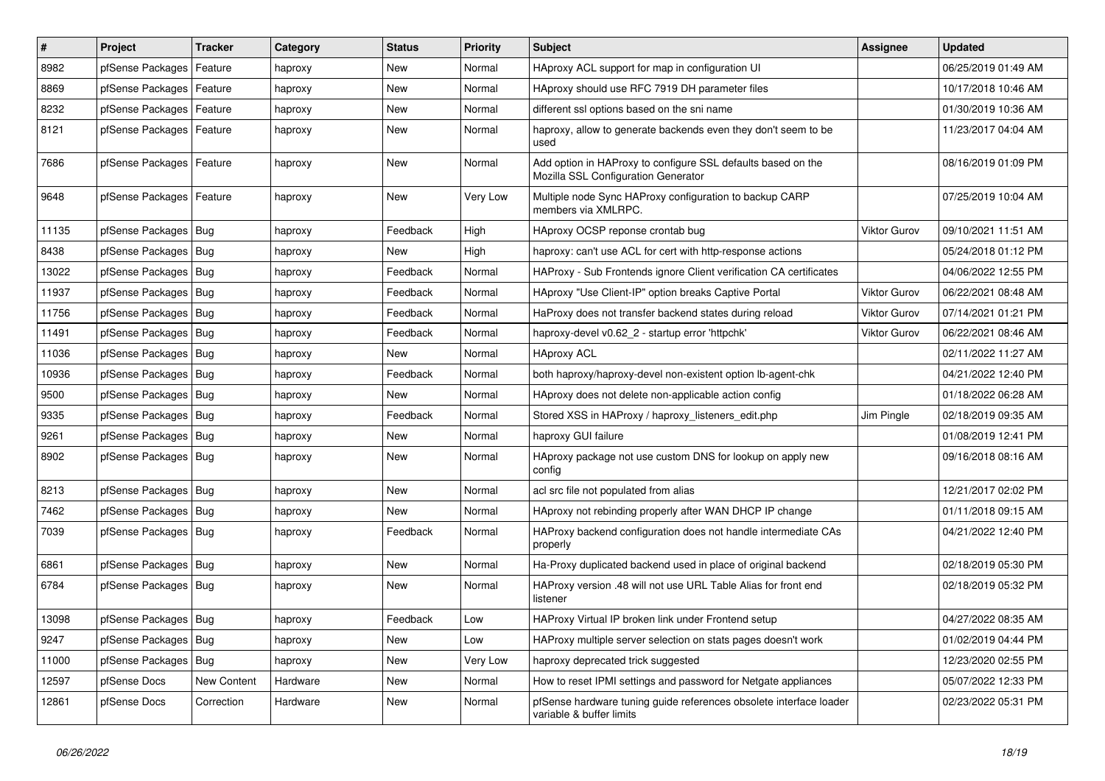| #     | Project                    | <b>Tracker</b> | Category | <b>Status</b> | <b>Priority</b> | <b>Subject</b>                                                                                      | <b>Assignee</b>     | <b>Updated</b>      |
|-------|----------------------------|----------------|----------|---------------|-----------------|-----------------------------------------------------------------------------------------------------|---------------------|---------------------|
| 8982  | pfSense Packages           | Feature        | haproxy  | New           | Normal          | HAproxy ACL support for map in configuration UI                                                     |                     | 06/25/2019 01:49 AM |
| 8869  | pfSense Packages   Feature |                | haproxy  | New           | Normal          | HAproxy should use RFC 7919 DH parameter files                                                      |                     | 10/17/2018 10:46 AM |
| 8232  | pfSense Packages           | Feature        | haproxy  | New           | Normal          | different ssl options based on the sni name                                                         |                     | 01/30/2019 10:36 AM |
| 8121  | pfSense Packages   Feature |                | haproxy  | New           | Normal          | haproxy, allow to generate backends even they don't seem to be<br>used                              |                     | 11/23/2017 04:04 AM |
| 7686  | pfSense Packages   Feature |                | haproxy  | New           | Normal          | Add option in HAProxy to configure SSL defaults based on the<br>Mozilla SSL Configuration Generator |                     | 08/16/2019 01:09 PM |
| 9648  | pfSense Packages   Feature |                | haproxy  | New           | Very Low        | Multiple node Sync HAProxy configuration to backup CARP<br>members via XMLRPC.                      |                     | 07/25/2019 10:04 AM |
| 11135 | pfSense Packages   Bug     |                | haproxy  | Feedback      | High            | HAproxy OCSP reponse crontab bug                                                                    | <b>Viktor Gurov</b> | 09/10/2021 11:51 AM |
| 8438  | pfSense Packages   Bug     |                | haproxy  | New           | High            | haproxy: can't use ACL for cert with http-response actions                                          |                     | 05/24/2018 01:12 PM |
| 13022 | pfSense Packages   Bug     |                | haproxy  | Feedback      | Normal          | HAProxy - Sub Frontends ignore Client verification CA certificates                                  |                     | 04/06/2022 12:55 PM |
| 11937 | pfSense Packages Bug       |                | haproxy  | Feedback      | Normal          | HAproxy "Use Client-IP" option breaks Captive Portal                                                | Viktor Gurov        | 06/22/2021 08:48 AM |
| 11756 | pfSense Packages   Bug     |                | haproxy  | Feedback      | Normal          | HaProxy does not transfer backend states during reload                                              | <b>Viktor Gurov</b> | 07/14/2021 01:21 PM |
| 11491 | pfSense Packages   Bug     |                | haproxy  | Feedback      | Normal          | haproxy-devel v0.62 2 - startup error 'httpchk'                                                     | Viktor Gurov        | 06/22/2021 08:46 AM |
| 11036 | pfSense Packages   Bug     |                | haproxy  | New           | Normal          | <b>HAproxy ACL</b>                                                                                  |                     | 02/11/2022 11:27 AM |
| 10936 | pfSense Packages   Bug     |                | haproxy  | Feedback      | Normal          | both haproxy/haproxy-devel non-existent option lb-agent-chk                                         |                     | 04/21/2022 12:40 PM |
| 9500  | pfSense Packages   Bug     |                | haproxy  | New           | Normal          | HAproxy does not delete non-applicable action config                                                |                     | 01/18/2022 06:28 AM |
| 9335  | pfSense Packages   Bug     |                | haproxy  | Feedback      | Normal          | Stored XSS in HAProxy / haproxy listeners edit.php                                                  | Jim Pingle          | 02/18/2019 09:35 AM |
| 9261  | pfSense Packages   Bug     |                | haproxy  | New           | Normal          | haproxy GUI failure                                                                                 |                     | 01/08/2019 12:41 PM |
| 8902  | pfSense Packages   Bug     |                | haproxy  | New           | Normal          | HAproxy package not use custom DNS for lookup on apply new<br>config                                |                     | 09/16/2018 08:16 AM |
| 8213  | pfSense Packages   Bug     |                | haproxy  | New           | Normal          | acl src file not populated from alias                                                               |                     | 12/21/2017 02:02 PM |
| 7462  | pfSense Packages   Bug     |                | haproxy  | New           | Normal          | HAproxy not rebinding properly after WAN DHCP IP change                                             |                     | 01/11/2018 09:15 AM |
| 7039  | pfSense Packages   Bug     |                | haproxy  | Feedback      | Normal          | HAProxy backend configuration does not handle intermediate CAs<br>properly                          |                     | 04/21/2022 12:40 PM |
| 6861  | pfSense Packages   Bug     |                | haproxy  | New           | Normal          | Ha-Proxy duplicated backend used in place of original backend                                       |                     | 02/18/2019 05:30 PM |
| 6784  | pfSense Packages   Bug     |                | haproxy  | New           | Normal          | HAProxy version .48 will not use URL Table Alias for front end<br>listener                          |                     | 02/18/2019 05:32 PM |
| 13098 | pfSense Packages   Bug     |                | haproxy  | Feedback      | Low             | HAProxy Virtual IP broken link under Frontend setup                                                 |                     | 04/27/2022 08:35 AM |
| 9247  | pfSense Packages   Bug     |                | haproxy  | New           | Low             | HAProxy multiple server selection on stats pages doesn't work                                       |                     | 01/02/2019 04:44 PM |
| 11000 | pfSense Packages           | Bug            | haproxy  | New           | Very Low        | haproxy deprecated trick suggested                                                                  |                     | 12/23/2020 02:55 PM |
| 12597 | pfSense Docs               | New Content    | Hardware | New           | Normal          | How to reset IPMI settings and password for Netgate appliances                                      |                     | 05/07/2022 12:33 PM |
| 12861 | pfSense Docs               | Correction     | Hardware | New           | Normal          | pfSense hardware tuning guide references obsolete interface loader<br>variable & buffer limits      |                     | 02/23/2022 05:31 PM |